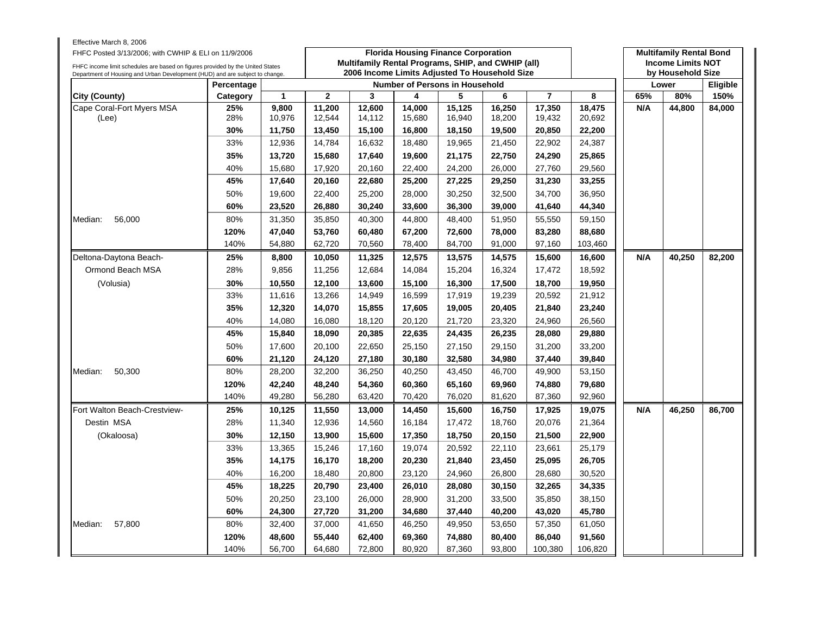| Effective March 8, 2006<br>FHFC Posted 3/13/2006; with CWHIP & ELI on 11/9/2006<br>FHFC income limit schedules are based on figures provided by the United States |            |              |              | Multifamily Rental Programs, SHIP, and CWHIP (all) |        | <b>Florida Housing Finance Corporation</b> |        |                  |                  |     | <b>Multifamily Rental Bond</b><br><b>Income Limits NOT</b> |                 |
|-------------------------------------------------------------------------------------------------------------------------------------------------------------------|------------|--------------|--------------|----------------------------------------------------|--------|--------------------------------------------|--------|------------------|------------------|-----|------------------------------------------------------------|-----------------|
| Department of Housing and Urban Development (HUD) and are subject to change.                                                                                      |            |              |              | 2006 Income Limits Adjusted To Household Size      |        |                                            |        |                  |                  |     | by Household Size                                          |                 |
|                                                                                                                                                                   | Percentage |              |              |                                                    |        | <b>Number of Persons in Household</b>      |        |                  |                  |     | Lower                                                      | <b>Eligible</b> |
| City (County)                                                                                                                                                     | Category   | $\mathbf{1}$ | $\mathbf{2}$ | 3                                                  | 4      | 5                                          | 6      | $\overline{7}$   | 8                | 65% | 80%                                                        | 150%            |
| Cape Coral-Fort Myers MSA                                                                                                                                         | 25%        | 9,800        | 11,200       | 12,600                                             | 14,000 | 15,125                                     | 16,250 | 17,350           | 18,475           | N/A | 44,800                                                     | 84,000          |
| (Lee)                                                                                                                                                             | 28%        | 10,976       | 12,544       | 14,112                                             | 15,680 | 16,940                                     | 18,200 | 19,432           | 20,692           |     |                                                            |                 |
|                                                                                                                                                                   | 30%        | 11,750       | 13,450       | 15,100                                             | 16,800 | 18,150                                     | 19,500 | 20,850<br>22,902 | 22,200<br>24,387 |     |                                                            |                 |
|                                                                                                                                                                   | 33%        | 12,936       | 14,784       | 16,632                                             | 18,480 | 19,965                                     | 21,450 |                  |                  |     |                                                            |                 |
|                                                                                                                                                                   | 35%        | 13,720       | 15,680       | 17,640                                             | 19,600 | 21,175                                     | 22,750 | 24,290           | 25,865           |     |                                                            |                 |
|                                                                                                                                                                   | 40%        | 15,680       | 17,920       | 20,160                                             | 22,400 | 24,200                                     | 26,000 | 27,760           | 29,560           |     |                                                            |                 |
|                                                                                                                                                                   | 45%        | 17,640       | 20,160       | 22,680                                             | 25,200 | 27,225                                     | 29,250 | 31,230           | 33,255           |     |                                                            |                 |
|                                                                                                                                                                   | 50%        | 19.600       | 22,400       | 25,200                                             | 28,000 | 30.250                                     | 32,500 | 34,700           | 36.950           |     |                                                            |                 |
|                                                                                                                                                                   | 60%        | 23,520       | 26,880       | 30,240                                             | 33,600 | 36,300                                     | 39,000 | 41,640           | 44,340           |     |                                                            |                 |
| 56,000<br>Median:                                                                                                                                                 | 80%        | 31,350       | 35,850       | 40,300                                             | 44,800 | 48,400                                     | 51,950 | 55,550           | 59,150           |     |                                                            |                 |
|                                                                                                                                                                   | 120%       | 47,040       | 53,760       | 60,480                                             | 67,200 | 72,600                                     | 78,000 | 83,280           | 88,680           |     |                                                            |                 |
|                                                                                                                                                                   | 140%       | 54,880       | 62,720       | 70,560                                             | 78,400 | 84,700                                     | 91,000 | 97,160           | 103,460          |     |                                                            |                 |
| Deltona-Daytona Beach-                                                                                                                                            | 25%        | 8,800        | 10,050       | 11,325                                             | 12,575 | 13,575                                     | 14,575 | 15,600           | 16,600           | N/A | 40,250                                                     | 82,200          |
| Ormond Beach MSA                                                                                                                                                  | 28%        | 9,856        | 11,256       | 12,684                                             | 14,084 | 15,204                                     | 16,324 | 17,472           | 18,592           |     |                                                            |                 |
| (Volusia)                                                                                                                                                         | 30%        | 10,550       | 12,100       | 13,600                                             | 15,100 | 16,300                                     | 17,500 | 18,700           | 19,950           |     |                                                            |                 |
|                                                                                                                                                                   | 33%        | 11,616       | 13,266       | 14,949                                             | 16,599 | 17,919                                     | 19,239 | 20,592           | 21,912           |     |                                                            |                 |
|                                                                                                                                                                   | 35%        | 12,320       | 14,070       | 15,855                                             | 17,605 | 19,005                                     | 20,405 | 21,840           | 23,240           |     |                                                            |                 |
|                                                                                                                                                                   | 40%        | 14,080       | 16,080       | 18,120                                             | 20,120 | 21,720                                     | 23,320 | 24,960           | 26,560           |     |                                                            |                 |
|                                                                                                                                                                   | 45%        | 15,840       | 18,090       | 20,385                                             | 22,635 | 24,435                                     | 26,235 | 28,080           | 29,880           |     |                                                            |                 |
|                                                                                                                                                                   | 50%        | 17,600       | 20,100       | 22,650                                             | 25,150 | 27,150                                     | 29,150 | 31,200           | 33,200           |     |                                                            |                 |
|                                                                                                                                                                   | 60%        | 21,120       | 24,120       | 27,180                                             | 30,180 | 32,580                                     | 34,980 | 37,440           | 39,840           |     |                                                            |                 |
| 50,300<br>Median:                                                                                                                                                 | 80%        | 28,200       | 32,200       | 36,250                                             | 40,250 | 43,450                                     | 46,700 | 49,900           | 53,150           |     |                                                            |                 |
|                                                                                                                                                                   | 120%       | 42,240       | 48,240       | 54,360                                             | 60,360 | 65,160                                     | 69,960 | 74,880           | 79,680           |     |                                                            |                 |
|                                                                                                                                                                   | 140%       | 49,280       | 56,280       | 63,420                                             | 70,420 | 76,020                                     | 81,620 | 87,360           | 92,960           |     |                                                            |                 |
| Fort Walton Beach-Crestview-                                                                                                                                      | 25%        | 10,125       | 11,550       | 13,000                                             | 14,450 | 15,600                                     | 16,750 | 17,925           | 19,075           | N/A | 46,250                                                     | 86,700          |
| Destin MSA                                                                                                                                                        | 28%        | 11,340       | 12,936       | 14,560                                             | 16,184 | 17,472                                     | 18,760 | 20,076           | 21,364           |     |                                                            |                 |
| (Okaloosa)                                                                                                                                                        | 30%        | 12,150       | 13,900       | 15,600                                             | 17,350 | 18,750                                     | 20,150 | 21,500           | 22,900           |     |                                                            |                 |
|                                                                                                                                                                   | 33%        | 13,365       | 15,246       | 17,160                                             | 19,074 | 20,592                                     | 22,110 | 23,661           | 25,179           |     |                                                            |                 |
|                                                                                                                                                                   | 35%        | 14,175       | 16,170       | 18,200                                             | 20,230 | 21,840                                     | 23,450 | 25,095           | 26,705           |     |                                                            |                 |
|                                                                                                                                                                   | 40%        | 16,200       | 18,480       | 20,800                                             | 23,120 | 24,960                                     | 26,800 | 28,680           | 30,520           |     |                                                            |                 |
|                                                                                                                                                                   | 45%        | 18,225       | 20,790       | 23,400                                             | 26,010 | 28,080                                     | 30,150 | 32,265           | 34,335           |     |                                                            |                 |
|                                                                                                                                                                   | 50%        | 20,250       | 23,100       | 26,000                                             | 28,900 | 31,200                                     | 33,500 | 35,850           | 38,150           |     |                                                            |                 |
|                                                                                                                                                                   | 60%        | 24,300       | 27,720       | 31,200                                             | 34,680 | 37,440                                     | 40,200 | 43,020           | 45,780           |     |                                                            |                 |
| 57,800<br>Median:                                                                                                                                                 | 80%        | 32,400       | 37,000       | 41,650                                             | 46,250 | 49,950                                     | 53,650 | 57,350           | 61,050           |     |                                                            |                 |
|                                                                                                                                                                   | 120%       | 48,600       | 55,440       | 62,400                                             | 69,360 | 74,880                                     | 80,400 | 86,040           | 91,560           |     |                                                            |                 |
|                                                                                                                                                                   | 140%       | 56,700       | 64,680       | 72,800                                             | 80,920 | 87,360                                     | 93,800 | 100,380          | 106,820          |     |                                                            |                 |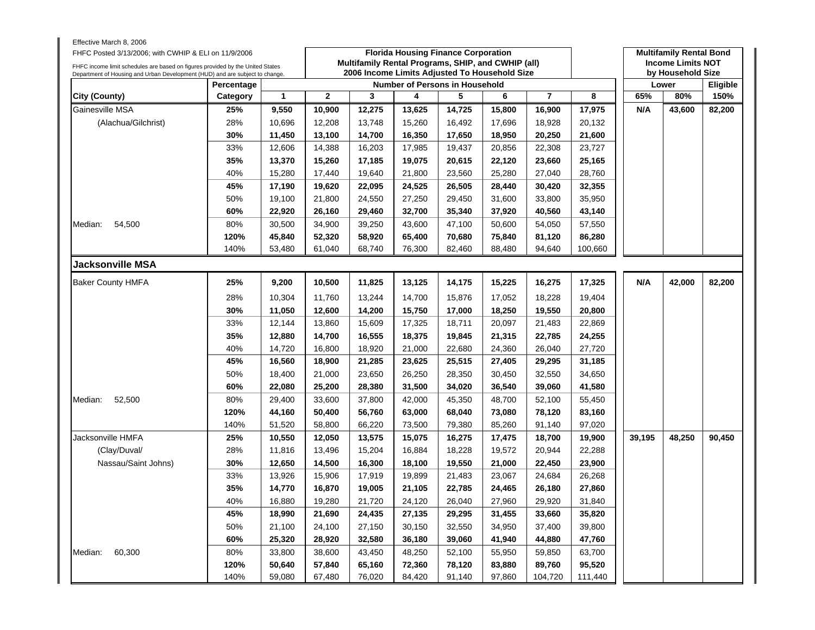| Effective March 8, 2006<br>FHFC Posted 3/13/2006; with CWHIP & ELI on 11/9/2006<br>FHFC income limit schedules are based on figures provided by the United States |            |        |              | Multifamily Rental Programs, SHIP, and CWHIP (all)<br>2006 Income Limits Adjusted To Household Size |        | <b>Florida Housing Finance Corporation</b> |        |                |         |        | <b>Multifamily Rental Bond</b><br><b>Income Limits NOT</b><br>by Household Size |          |
|-------------------------------------------------------------------------------------------------------------------------------------------------------------------|------------|--------|--------------|-----------------------------------------------------------------------------------------------------|--------|--------------------------------------------|--------|----------------|---------|--------|---------------------------------------------------------------------------------|----------|
| Department of Housing and Urban Development (HUD) and are subject to change.                                                                                      | Percentage |        |              |                                                                                                     |        | <b>Number of Persons in Household</b>      |        |                |         |        | Lower                                                                           | Eligible |
| <b>City (County)</b>                                                                                                                                              | Category   | 1      | $\mathbf{2}$ | 3                                                                                                   | 4      | 5                                          | 6      | $\overline{7}$ | 8       | 65%    | 80%                                                                             | 150%     |
| Gainesville MSA                                                                                                                                                   | 25%        | 9,550  | 10,900       | 12,275                                                                                              | 13,625 | 14,725                                     | 15,800 | 16,900         | 17,975  | N/A    | 43,600                                                                          | 82,200   |
| (Alachua/Gilchrist)                                                                                                                                               | 28%        | 10,696 | 12,208       | 13,748                                                                                              | 15,260 | 16,492                                     | 17,696 | 18,928         | 20,132  |        |                                                                                 |          |
|                                                                                                                                                                   | 30%        | 11,450 | 13,100       | 14,700                                                                                              | 16,350 | 17,650                                     | 18,950 | 20,250         | 21,600  |        |                                                                                 |          |
|                                                                                                                                                                   | 33%        | 12,606 | 14,388       | 16,203                                                                                              | 17,985 | 19,437                                     | 20,856 | 22,308         | 23,727  |        |                                                                                 |          |
|                                                                                                                                                                   | 35%        | 13,370 | 15,260       | 17,185                                                                                              | 19,075 | 20,615                                     | 22,120 | 23,660         | 25,165  |        |                                                                                 |          |
|                                                                                                                                                                   | 40%        | 15,280 | 17,440       | 19,640                                                                                              | 21,800 | 23,560                                     | 25,280 | 27,040         | 28,760  |        |                                                                                 |          |
|                                                                                                                                                                   | 45%        | 17,190 | 19,620       | 22,095                                                                                              | 24,525 | 26,505                                     | 28,440 | 30,420         | 32,355  |        |                                                                                 |          |
|                                                                                                                                                                   | 50%        | 19,100 | 21,800       | 24,550                                                                                              | 27,250 | 29,450                                     | 31,600 | 33,800         | 35,950  |        |                                                                                 |          |
|                                                                                                                                                                   | 60%        | 22,920 | 26,160       | 29,460                                                                                              | 32,700 | 35,340                                     | 37,920 | 40,560         | 43,140  |        |                                                                                 |          |
| 54,500<br>Median:                                                                                                                                                 | 80%        | 30,500 | 34,900       | 39,250                                                                                              | 43,600 | 47,100                                     | 50,600 | 54,050         | 57,550  |        |                                                                                 |          |
|                                                                                                                                                                   | 120%       | 45,840 | 52,320       | 58,920                                                                                              | 65,400 | 70,680                                     | 75,840 | 81,120         | 86,280  |        |                                                                                 |          |
|                                                                                                                                                                   | 140%       | 53,480 | 61,040       | 68,740                                                                                              | 76,300 | 82,460                                     | 88,480 | 94,640         | 100,660 |        |                                                                                 |          |
| Jacksonville MSA                                                                                                                                                  |            |        |              |                                                                                                     |        |                                            |        |                |         |        |                                                                                 |          |
| <b>Baker County HMFA</b>                                                                                                                                          | 25%        | 9,200  | 10,500       | 11,825                                                                                              | 13,125 | 14,175                                     | 15,225 | 16,275         | 17,325  | N/A    | 42,000                                                                          | 82,200   |
|                                                                                                                                                                   | 28%        | 10,304 | 11,760       | 13,244                                                                                              | 14,700 | 15,876                                     | 17,052 | 18,228         | 19,404  |        |                                                                                 |          |
|                                                                                                                                                                   | 30%        | 11,050 | 12,600       | 14,200                                                                                              | 15,750 | 17,000                                     | 18,250 | 19,550         | 20,800  |        |                                                                                 |          |
|                                                                                                                                                                   | 33%        | 12,144 | 13,860       | 15,609                                                                                              | 17,325 | 18,711                                     | 20,097 | 21,483         | 22,869  |        |                                                                                 |          |
|                                                                                                                                                                   | 35%        | 12,880 | 14,700       | 16,555                                                                                              | 18,375 | 19,845                                     | 21,315 | 22,785         | 24,255  |        |                                                                                 |          |
|                                                                                                                                                                   | 40%        | 14,720 | 16,800       | 18,920                                                                                              | 21,000 | 22,680                                     | 24,360 | 26,040         | 27,720  |        |                                                                                 |          |
|                                                                                                                                                                   | 45%        | 16,560 | 18,900       | 21,285                                                                                              | 23,625 | 25,515                                     | 27,405 | 29,295         | 31,185  |        |                                                                                 |          |
|                                                                                                                                                                   | 50%        | 18,400 | 21,000       | 23,650                                                                                              | 26,250 | 28,350                                     | 30,450 | 32,550         | 34,650  |        |                                                                                 |          |
|                                                                                                                                                                   | 60%        | 22,080 | 25,200       | 28,380                                                                                              | 31,500 | 34,020                                     | 36,540 | 39,060         | 41,580  |        |                                                                                 |          |
| 52,500<br>Median:                                                                                                                                                 | 80%        | 29,400 | 33,600       | 37,800                                                                                              | 42,000 | 45,350                                     | 48,700 | 52,100         | 55,450  |        |                                                                                 |          |
|                                                                                                                                                                   | 120%       | 44,160 | 50,400       | 56,760                                                                                              | 63,000 | 68,040                                     | 73,080 | 78,120         | 83,160  |        |                                                                                 |          |
|                                                                                                                                                                   | 140%       | 51,520 | 58,800       | 66,220                                                                                              | 73,500 | 79,380                                     | 85,260 | 91,140         | 97,020  |        |                                                                                 |          |
| Jacksonville HMFA                                                                                                                                                 | 25%        | 10,550 | 12,050       | 13,575                                                                                              | 15,075 | 16,275                                     | 17,475 | 18,700         | 19,900  | 39,195 | 48,250                                                                          | 90,450   |
| (Clay/Duval/                                                                                                                                                      | 28%        | 11,816 | 13,496       | 15,204                                                                                              | 16,884 | 18,228                                     | 19,572 | 20,944         | 22,288  |        |                                                                                 |          |
| Nassau/Saint Johns)                                                                                                                                               | 30%        | 12,650 | 14,500       | 16,300                                                                                              | 18,100 | 19,550                                     | 21,000 | 22,450         | 23,900  |        |                                                                                 |          |
|                                                                                                                                                                   | 33%        | 13,926 | 15,906       | 17,919                                                                                              | 19,899 | 21,483                                     | 23,067 | 24,684         | 26,268  |        |                                                                                 |          |
|                                                                                                                                                                   | 35%        | 14,770 | 16,870       | 19,005                                                                                              | 21,105 | 22,785                                     | 24,465 | 26,180         | 27,860  |        |                                                                                 |          |
|                                                                                                                                                                   | 40%        | 16,880 | 19,280       | 21,720                                                                                              | 24,120 | 26,040                                     | 27,960 | 29,920         | 31,840  |        |                                                                                 |          |
|                                                                                                                                                                   | 45%        | 18,990 | 21,690       | 24,435                                                                                              | 27,135 | 29,295                                     | 31,455 | 33,660         | 35,820  |        |                                                                                 |          |
|                                                                                                                                                                   | 50%        | 21,100 | 24,100       | 27,150                                                                                              | 30,150 | 32,550                                     | 34,950 | 37,400         | 39,800  |        |                                                                                 |          |
|                                                                                                                                                                   | 60%        | 25,320 | 28,920       | 32,580                                                                                              | 36,180 | 39,060                                     | 41,940 | 44,880         | 47,760  |        |                                                                                 |          |
| 60,300<br>Median:                                                                                                                                                 | 80%        | 33,800 | 38,600       | 43,450                                                                                              | 48,250 | 52,100                                     | 55,950 | 59,850         | 63,700  |        |                                                                                 |          |
|                                                                                                                                                                   | 120%       | 50,640 | 57,840       | 65,160                                                                                              | 72,360 | 78,120                                     | 83,880 | 89,760         | 95,520  |        |                                                                                 |          |
|                                                                                                                                                                   | 140%       | 59,080 | 67,480       | 76,020                                                                                              | 84,420 | 91,140                                     | 97,860 | 104,720        | 111,440 |        |                                                                                 |          |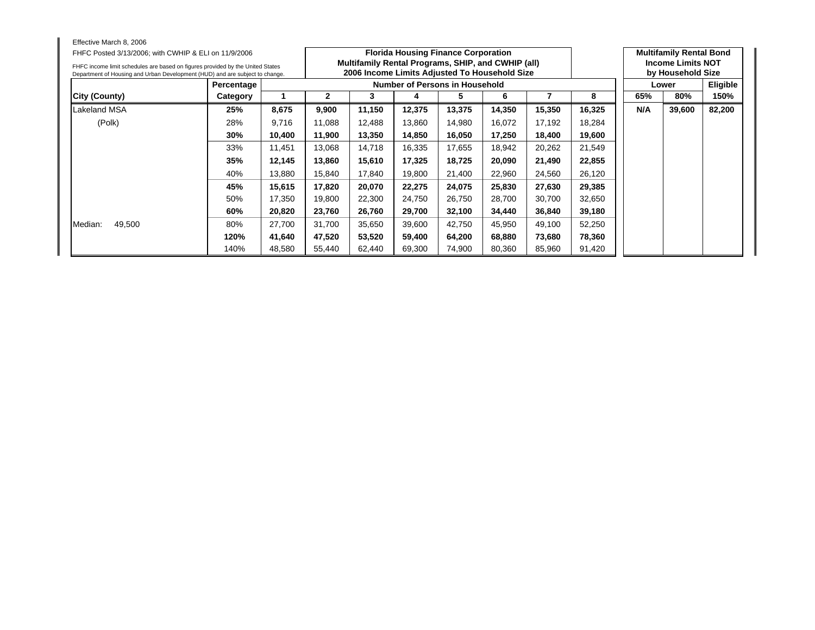| Effective March 8, 2006                                                        |            |        |                                |        |        |                                                    |        |        |        |     |                                |                 |
|--------------------------------------------------------------------------------|------------|--------|--------------------------------|--------|--------|----------------------------------------------------|--------|--------|--------|-----|--------------------------------|-----------------|
| FHFC Posted 3/13/2006; with CWHIP & ELI on 11/9/2006                           |            |        |                                |        |        | <b>Florida Housing Finance Corporation</b>         |        |        |        |     | <b>Multifamily Rental Bond</b> |                 |
| FHFC income limit schedules are based on figures provided by the United States |            |        |                                |        |        | Multifamily Rental Programs, SHIP, and CWHIP (all) |        |        |        |     | <b>Income Limits NOT</b>       |                 |
| Department of Housing and Urban Development (HUD) and are subject to change.   |            |        |                                |        |        | 2006 Income Limits Adjusted To Household Size      |        |        |        |     | by Household Size              |                 |
|                                                                                | Percentage |        | Number of Persons in Household |        |        |                                                    |        |        |        |     | Lower                          | <b>Eligible</b> |
| City (County)                                                                  | Category   |        | 8<br>2<br>3<br>5<br>6<br>4     |        |        |                                                    |        |        |        |     | 80%                            | 150%            |
| Lakeland MSA                                                                   | 25%        | 8,675  | 9,900                          | 11,150 | 12,375 | 13,375                                             | 14,350 | 15,350 | 16,325 | N/A | 39,600                         | 82,200          |
| (Polk)                                                                         | 28%        | 9,716  | 11,088                         | 12,488 | 13,860 | 14,980                                             | 16,072 | 17,192 | 18,284 |     |                                |                 |
|                                                                                | 30%        | 10,400 | 11,900                         | 13,350 | 14,850 | 16,050                                             | 17,250 | 18,400 | 19,600 |     |                                |                 |
|                                                                                | 33%        | 11,451 | 13,068                         | 14,718 | 16,335 | 17,655                                             | 18,942 | 20,262 | 21,549 |     |                                |                 |
|                                                                                | 35%        | 12,145 | 13,860                         | 15,610 | 17,325 | 18,725                                             | 20,090 | 21,490 | 22,855 |     |                                |                 |
|                                                                                | 40%        | 13,880 | 15,840                         | 17,840 | 19,800 | 21,400                                             | 22,960 | 24,560 | 26,120 |     |                                |                 |
|                                                                                | 45%        | 15,615 | 17,820                         | 20,070 | 22,275 | 24,075                                             | 25,830 | 27,630 | 29,385 |     |                                |                 |
|                                                                                | 50%        | 17,350 | 19,800                         | 22,300 | 24,750 | 26,750                                             | 28,700 | 30,700 | 32,650 |     |                                |                 |
|                                                                                | 60%        | 20,820 | 23,760                         | 26,760 | 29,700 | 32,100                                             | 34,440 | 36,840 | 39,180 |     |                                |                 |
| 49,500<br>Median:                                                              | 80%        | 27,700 | 31,700                         | 35,650 | 39,600 | 42,750                                             | 45,950 | 49,100 | 52,250 |     |                                |                 |
|                                                                                | 120%       | 41,640 | 47,520                         | 53,520 | 59,400 | 64,200                                             | 68,880 | 73,680 | 78,360 |     |                                |                 |
|                                                                                | 140%       | 48,580 | 55,440                         | 62,440 | 69,300 | 74,900                                             | 80,360 | 85,960 | 91,420 |     |                                |                 |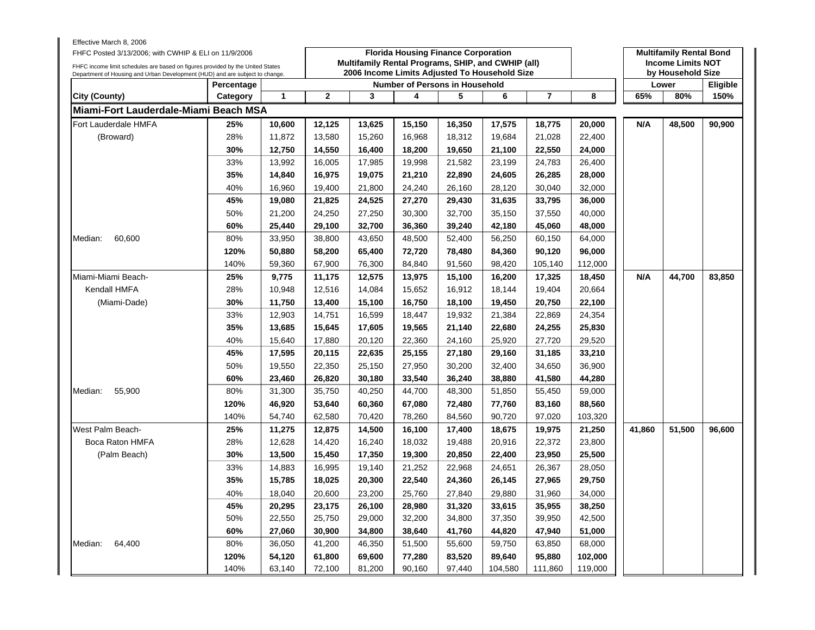| Effective March 8, 2006<br>FHFC Posted 3/13/2006; with CWHIP & ELI on 11/9/2006                                                                                |            |        |              |        | <b>Florida Housing Finance Corporation</b> |        |                                                                                                     |                |         |        | <b>Multifamily Rental Bond</b>                |          |
|----------------------------------------------------------------------------------------------------------------------------------------------------------------|------------|--------|--------------|--------|--------------------------------------------|--------|-----------------------------------------------------------------------------------------------------|----------------|---------|--------|-----------------------------------------------|----------|
| FHFC income limit schedules are based on figures provided by the United States<br>Department of Housing and Urban Development (HUD) and are subject to change. |            |        |              |        |                                            |        | Multifamily Rental Programs, SHIP, and CWHIP (all)<br>2006 Income Limits Adjusted To Household Size |                |         |        | <b>Income Limits NOT</b><br>by Household Size |          |
|                                                                                                                                                                | Percentage |        |              |        | <b>Number of Persons in Household</b>      |        |                                                                                                     |                |         |        | Lower                                         | Eligible |
| <b>City (County)</b>                                                                                                                                           | Category   | 1      | $\mathbf{2}$ | 3      | 4                                          | 5      | 6                                                                                                   | $\overline{7}$ | 8       | 65%    | 80%                                           | 150%     |
| Miami-Fort Lauderdale-Miami Beach MSA                                                                                                                          |            |        |              |        |                                            |        |                                                                                                     |                |         |        |                                               |          |
| Fort Lauderdale HMFA                                                                                                                                           | 25%        | 10,600 | 12,125       | 13,625 | 15,150                                     | 16,350 | 17,575                                                                                              | 18,775         | 20,000  | N/A    | 48,500                                        | 90,900   |
| (Broward)                                                                                                                                                      | 28%        | 11,872 | 13,580       | 15,260 | 16,968                                     | 18,312 | 19,684                                                                                              | 21,028         | 22,400  |        |                                               |          |
|                                                                                                                                                                | 30%        | 12,750 | 14,550       | 16,400 | 18,200                                     | 19,650 | 21,100                                                                                              | 22,550         | 24,000  |        |                                               |          |
|                                                                                                                                                                | 33%        | 13,992 | 16,005       | 17,985 | 19,998                                     | 21,582 | 23,199                                                                                              | 24,783         | 26,400  |        |                                               |          |
|                                                                                                                                                                | 35%        | 14,840 | 16,975       | 19,075 | 21,210                                     | 22,890 | 24,605                                                                                              | 26,285         | 28,000  |        |                                               |          |
|                                                                                                                                                                | 40%        | 16,960 | 19,400       | 21,800 | 24,240                                     | 26,160 | 28,120                                                                                              | 30,040         | 32,000  |        |                                               |          |
|                                                                                                                                                                | 45%        | 19,080 | 21,825       | 24,525 | 27,270                                     | 29,430 | 31,635                                                                                              | 33,795         | 36,000  |        |                                               |          |
|                                                                                                                                                                | 50%        | 21,200 | 24,250       | 27,250 | 30,300                                     | 32,700 | 35,150                                                                                              | 37,550         | 40,000  |        |                                               |          |
|                                                                                                                                                                | 60%        | 25,440 | 29,100       | 32,700 | 36,360                                     | 39,240 | 42,180                                                                                              | 45,060         | 48,000  |        |                                               |          |
| 60,600<br>Median:                                                                                                                                              | 80%        | 33,950 | 38,800       | 43,650 | 48,500                                     | 52,400 | 56,250                                                                                              | 60,150         | 64,000  |        |                                               |          |
|                                                                                                                                                                | 120%       | 50,880 | 58,200       | 65,400 | 72,720                                     | 78,480 | 84,360                                                                                              | 90,120         | 96,000  |        |                                               |          |
|                                                                                                                                                                | 140%       | 59,360 | 67,900       | 76,300 | 84,840                                     | 91,560 | 98,420                                                                                              | 105,140        | 112,000 |        |                                               |          |
| Miami-Miami Beach-                                                                                                                                             | 25%        | 9,775  | 11,175       | 12,575 | 13,975                                     | 15,100 | 16,200                                                                                              | 17,325         | 18,450  | N/A    | 44,700                                        | 83,850   |
| Kendall HMFA                                                                                                                                                   | 28%        | 10,948 | 12,516       | 14,084 | 15,652                                     | 16,912 | 18,144                                                                                              | 19,404         | 20,664  |        |                                               |          |
| (Miami-Dade)                                                                                                                                                   | 30%        | 11,750 | 13,400       | 15,100 | 16,750                                     | 18,100 | 19,450                                                                                              | 20,750         | 22,100  |        |                                               |          |
|                                                                                                                                                                | 33%        | 12,903 | 14,751       | 16,599 | 18,447                                     | 19,932 | 21,384                                                                                              | 22,869         | 24,354  |        |                                               |          |
|                                                                                                                                                                | 35%        | 13,685 | 15,645       | 17,605 | 19,565                                     | 21,140 | 22,680                                                                                              | 24,255         | 25,830  |        |                                               |          |
|                                                                                                                                                                | 40%        | 15,640 | 17,880       | 20,120 | 22,360                                     | 24,160 | 25,920                                                                                              | 27,720         | 29,520  |        |                                               |          |
|                                                                                                                                                                | 45%        | 17,595 | 20,115       | 22,635 | 25,155                                     | 27,180 | 29,160                                                                                              | 31,185         | 33,210  |        |                                               |          |
|                                                                                                                                                                | 50%        | 19,550 | 22,350       | 25,150 | 27,950                                     | 30,200 | 32,400                                                                                              | 34,650         | 36,900  |        |                                               |          |
|                                                                                                                                                                | 60%        | 23,460 | 26,820       | 30,180 | 33,540                                     | 36,240 | 38,880                                                                                              | 41,580         | 44,280  |        |                                               |          |
| 55,900<br>Median:                                                                                                                                              | 80%        | 31,300 | 35,750       | 40,250 | 44,700                                     | 48,300 | 51,850                                                                                              | 55,450         | 59,000  |        |                                               |          |
|                                                                                                                                                                | 120%       | 46,920 | 53,640       | 60,360 | 67,080                                     | 72,480 | 77,760                                                                                              | 83,160         | 88,560  |        |                                               |          |
|                                                                                                                                                                | 140%       | 54,740 | 62,580       | 70,420 | 78,260                                     | 84,560 | 90,720                                                                                              | 97,020         | 103,320 |        |                                               |          |
| West Palm Beach-                                                                                                                                               | 25%        | 11,275 | 12,875       | 14,500 | 16,100                                     | 17,400 | 18,675                                                                                              | 19,975         | 21,250  | 41,860 | 51,500                                        | 96,600   |
| Boca Raton HMFA                                                                                                                                                | 28%        | 12,628 | 14,420       | 16,240 | 18,032                                     | 19,488 | 20,916                                                                                              | 22,372         | 23,800  |        |                                               |          |
| (Palm Beach)                                                                                                                                                   | 30%        | 13,500 | 15,450       | 17,350 | 19,300                                     | 20,850 | 22,400                                                                                              | 23,950         | 25,500  |        |                                               |          |
|                                                                                                                                                                | 33%        | 14,883 | 16,995       | 19,140 | 21,252                                     | 22,968 | 24,651                                                                                              | 26,367         | 28,050  |        |                                               |          |
|                                                                                                                                                                | 35%        | 15,785 | 18,025       | 20,300 | 22,540                                     | 24,360 | 26,145                                                                                              | 27,965         | 29,750  |        |                                               |          |
|                                                                                                                                                                | 40%        | 18,040 | 20,600       | 23,200 | 25,760                                     | 27,840 | 29,880                                                                                              | 31,960         | 34,000  |        |                                               |          |
|                                                                                                                                                                | 45%        | 20,295 | 23,175       | 26,100 | 28,980                                     | 31,320 | 33,615                                                                                              | 35,955         | 38,250  |        |                                               |          |
|                                                                                                                                                                | 50%        | 22,550 | 25,750       | 29,000 | 32,200                                     | 34,800 | 37,350                                                                                              | 39,950         | 42,500  |        |                                               |          |
|                                                                                                                                                                | 60%        | 27,060 | 30,900       | 34,800 | 38,640                                     | 41,760 | 44,820                                                                                              | 47,940         | 51,000  |        |                                               |          |
| 64,400<br>Median:                                                                                                                                              | 80%        | 36,050 | 41,200       | 46,350 | 51,500                                     | 55,600 | 59,750                                                                                              | 63,850         | 68,000  |        |                                               |          |
|                                                                                                                                                                | 120%       | 54,120 | 61,800       | 69,600 | 77,280                                     | 83,520 | 89,640                                                                                              | 95,880         | 102,000 |        |                                               |          |
|                                                                                                                                                                | 140%       | 63,140 | 72,100       | 81,200 | 90,160                                     | 97,440 | 104,580                                                                                             | 111,860        | 119,000 |        |                                               |          |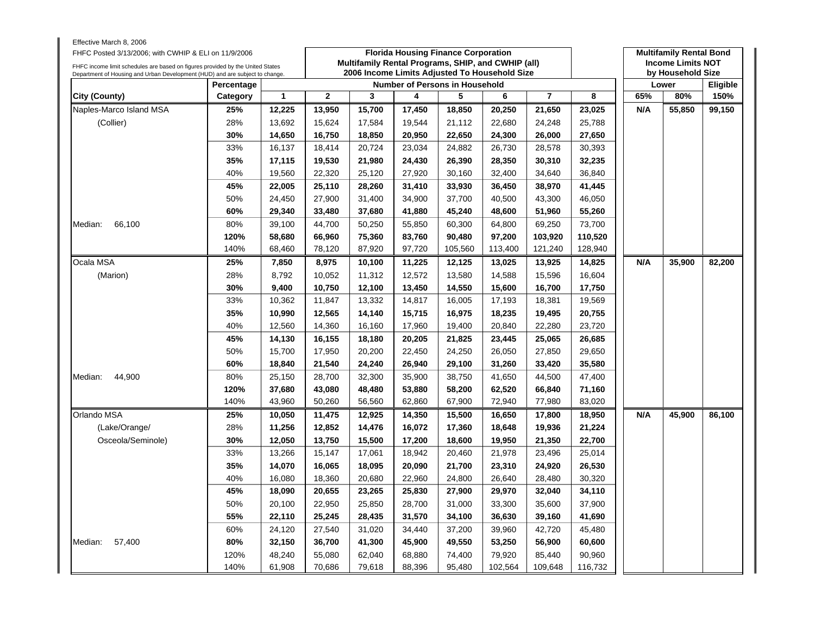| Effective March 8, 2006<br>FHFC Posted 3/13/2006; with CWHIP & ELI on 11/9/2006<br>FHFC income limit schedules are based on figures provided by the United States |            |        |                | Multifamily Rental Programs, SHIP, and CWHIP (all) |        | <b>Florida Housing Finance Corporation</b> |         |         |         |     | <b>Multifamily Rental Bond</b><br><b>Income Limits NOT</b> |                 |
|-------------------------------------------------------------------------------------------------------------------------------------------------------------------|------------|--------|----------------|----------------------------------------------------|--------|--------------------------------------------|---------|---------|---------|-----|------------------------------------------------------------|-----------------|
| Department of Housing and Urban Development (HUD) and are subject to change.                                                                                      |            |        |                | 2006 Income Limits Adjusted To Household Size      |        |                                            |         |         |         |     | by Household Size                                          |                 |
|                                                                                                                                                                   | Percentage |        |                |                                                    |        | <b>Number of Persons in Household</b>      |         |         |         |     | Lower                                                      | <b>Eligible</b> |
| City (County)                                                                                                                                                     | Category   | 1      | $\overline{2}$ | 3                                                  | 4      | 5                                          | 6       | 7       | 8       | 65% | 80%                                                        | 150%            |
| Naples-Marco Island MSA                                                                                                                                           | 25%        | 12,225 | 13,950         | 15,700                                             | 17,450 | 18,850                                     | 20,250  | 21,650  | 23,025  | N/A | 55,850                                                     | 99,150          |
| (Collier)                                                                                                                                                         | 28%        | 13,692 | 15,624         | 17,584                                             | 19,544 | 21,112                                     | 22,680  | 24,248  | 25,788  |     |                                                            |                 |
|                                                                                                                                                                   | 30%        | 14,650 | 16,750         | 18,850                                             | 20,950 | 22,650                                     | 24,300  | 26,000  | 27,650  |     |                                                            |                 |
|                                                                                                                                                                   | 33%        | 16,137 | 18,414         | 20,724                                             | 23,034 | 24,882                                     | 26,730  | 28,578  | 30,393  |     |                                                            |                 |
|                                                                                                                                                                   | 35%        | 17,115 | 19,530         | 21,980                                             | 24,430 | 26,390                                     | 28,350  | 30,310  | 32,235  |     |                                                            |                 |
|                                                                                                                                                                   | 40%        | 19,560 | 22,320         | 25,120                                             | 27,920 | 30,160                                     | 32,400  | 34,640  | 36,840  |     |                                                            |                 |
|                                                                                                                                                                   | 45%        | 22,005 | 25,110         | 28,260                                             | 31,410 | 33,930                                     | 36,450  | 38,970  | 41,445  |     |                                                            |                 |
|                                                                                                                                                                   | 50%        | 24,450 | 27,900         | 31,400                                             | 34,900 | 37,700                                     | 40,500  | 43,300  | 46,050  |     |                                                            |                 |
|                                                                                                                                                                   | 60%        | 29,340 | 33,480         | 37,680                                             | 41,880 | 45,240                                     | 48,600  | 51,960  | 55,260  |     |                                                            |                 |
| 66,100<br>Median:                                                                                                                                                 | 80%        | 39,100 | 44,700         | 50,250                                             | 55,850 | 60,300                                     | 64,800  | 69,250  | 73,700  |     |                                                            |                 |
|                                                                                                                                                                   | 120%       | 58,680 | 66,960         | 75,360                                             | 83,760 | 90,480                                     | 97,200  | 103,920 | 110,520 |     |                                                            |                 |
|                                                                                                                                                                   | 140%       | 68,460 | 78,120         | 87,920                                             | 97,720 | 105,560                                    | 113,400 | 121,240 | 128,940 |     |                                                            |                 |
| Ocala MSA                                                                                                                                                         | 25%        | 7,850  | 8,975          | 10,100                                             | 11,225 | 12,125                                     | 13,025  | 13,925  | 14,825  | N/A | 35,900                                                     | 82,200          |
| (Marion)                                                                                                                                                          | 28%        | 8,792  | 10,052         | 11,312                                             | 12,572 | 13,580                                     | 14,588  | 15,596  | 16,604  |     |                                                            |                 |
|                                                                                                                                                                   | 30%        | 9,400  | 10,750         | 12,100                                             | 13,450 | 14,550                                     | 15,600  | 16,700  | 17,750  |     |                                                            |                 |
|                                                                                                                                                                   | 33%        | 10,362 | 11,847         | 13,332                                             | 14,817 | 16,005                                     | 17,193  | 18,381  | 19,569  |     |                                                            |                 |
|                                                                                                                                                                   | 35%        | 10,990 | 12,565         | 14,140                                             | 15,715 | 16,975                                     | 18,235  | 19,495  | 20,755  |     |                                                            |                 |
|                                                                                                                                                                   | 40%        | 12,560 | 14,360         | 16,160                                             | 17,960 | 19,400                                     | 20,840  | 22,280  | 23,720  |     |                                                            |                 |
|                                                                                                                                                                   | 45%        | 14,130 | 16,155         | 18,180                                             | 20,205 | 21,825                                     | 23,445  | 25,065  | 26,685  |     |                                                            |                 |
|                                                                                                                                                                   | 50%        | 15,700 | 17,950         | 20,200                                             | 22,450 | 24,250                                     | 26,050  | 27,850  | 29,650  |     |                                                            |                 |
|                                                                                                                                                                   | 60%        | 18,840 | 21,540         | 24,240                                             | 26,940 | 29,100                                     | 31,260  | 33,420  | 35,580  |     |                                                            |                 |
| 44,900<br>Median:                                                                                                                                                 | 80%        | 25,150 | 28,700         | 32,300                                             | 35,900 | 38,750                                     | 41,650  | 44,500  | 47,400  |     |                                                            |                 |
|                                                                                                                                                                   | 120%       | 37,680 | 43,080         | 48,480                                             | 53,880 | 58,200                                     | 62,520  | 66,840  | 71,160  |     |                                                            |                 |
|                                                                                                                                                                   | 140%       | 43,960 | 50,260         | 56,560                                             | 62,860 | 67,900                                     | 72,940  | 77,980  | 83,020  |     |                                                            |                 |
| Orlando MSA                                                                                                                                                       | 25%        | 10,050 | 11,475         | 12,925                                             | 14,350 | 15,500                                     | 16,650  | 17,800  | 18,950  | N/A | 45,900                                                     | 86,100          |
| (Lake/Orange/                                                                                                                                                     | 28%        | 11,256 | 12,852         | 14,476                                             | 16,072 | 17,360                                     | 18,648  | 19,936  | 21,224  |     |                                                            |                 |
| Osceola/Seminole)                                                                                                                                                 | 30%        | 12,050 | 13,750         | 15,500                                             | 17,200 | 18,600                                     | 19,950  | 21,350  | 22,700  |     |                                                            |                 |
|                                                                                                                                                                   | 33%        | 13,266 | 15,147         | 17,061                                             | 18,942 | 20,460                                     | 21,978  | 23,496  | 25,014  |     |                                                            |                 |
|                                                                                                                                                                   | 35%        | 14,070 | 16,065         | 18,095                                             | 20,090 | 21,700                                     | 23,310  | 24,920  | 26,530  |     |                                                            |                 |
|                                                                                                                                                                   | 40%        | 16,080 | 18,360         | 20,680                                             | 22,960 | 24,800                                     | 26,640  | 28,480  | 30,320  |     |                                                            |                 |
|                                                                                                                                                                   | 45%        | 18,090 | 20,655         | 23,265                                             | 25,830 | 27,900                                     | 29,970  | 32,040  | 34,110  |     |                                                            |                 |
|                                                                                                                                                                   | 50%        | 20,100 | 22,950         | 25,850                                             | 28,700 | 31,000                                     | 33,300  | 35,600  | 37,900  |     |                                                            |                 |
|                                                                                                                                                                   | 55%        | 22,110 | 25,245         | 28,435                                             | 31,570 | 34,100                                     | 36,630  | 39,160  | 41,690  |     |                                                            |                 |
|                                                                                                                                                                   | 60%        | 24,120 | 27,540         | 31,020                                             | 34,440 | 37,200                                     | 39,960  | 42,720  | 45,480  |     |                                                            |                 |
| 57,400<br>Median:                                                                                                                                                 | 80%        | 32,150 | 36,700         | 41,300                                             | 45,900 | 49,550                                     | 53,250  | 56,900  | 60,600  |     |                                                            |                 |
|                                                                                                                                                                   | 120%       | 48,240 | 55,080         | 62,040                                             | 68,880 | 74,400                                     | 79,920  | 85,440  | 90,960  |     |                                                            |                 |
|                                                                                                                                                                   | 140%       | 61,908 | 70,686         | 79,618                                             | 88,396 | 95,480                                     | 102,564 | 109,648 | 116,732 |     |                                                            |                 |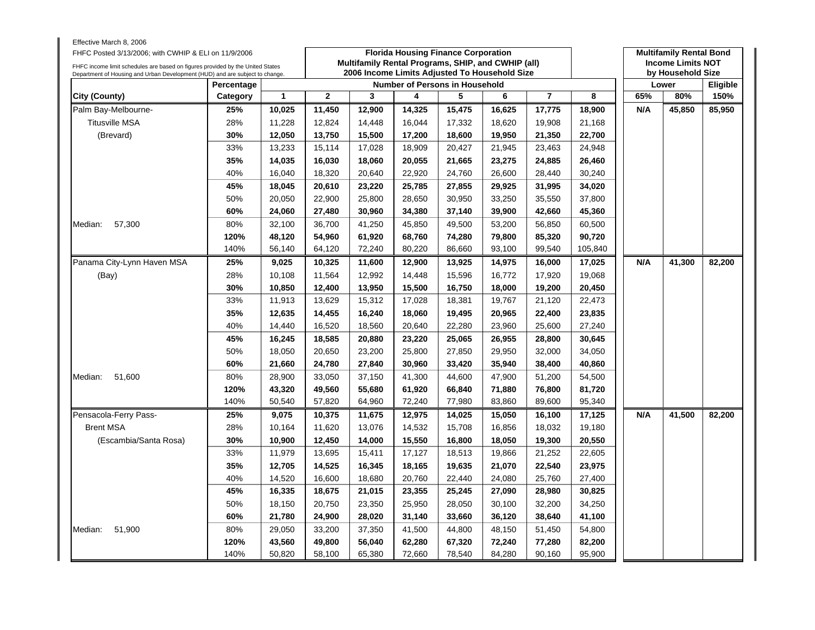| Effective March 8, 2006<br>FHFC Posted 3/13/2006; with CWHIP & ELI on 11/9/2006<br>FHFC income limit schedules are based on figures provided by the United States |            |              |                | Multifamily Rental Programs, SHIP, and CWHIP (all) |        | <b>Florida Housing Finance Corporation</b> |        |                |         |     | <b>Multifamily Rental Bond</b><br><b>Income Limits NOT</b> |          |
|-------------------------------------------------------------------------------------------------------------------------------------------------------------------|------------|--------------|----------------|----------------------------------------------------|--------|--------------------------------------------|--------|----------------|---------|-----|------------------------------------------------------------|----------|
| Department of Housing and Urban Development (HUD) and are subject to change.                                                                                      |            |              |                | 2006 Income Limits Adjusted To Household Size      |        |                                            |        |                |         |     | by Household Size                                          |          |
|                                                                                                                                                                   | Percentage |              |                |                                                    |        | <b>Number of Persons in Household</b>      |        |                |         |     | Lower                                                      | Eligible |
| City (County)                                                                                                                                                     | Category   | $\mathbf{1}$ | $\overline{2}$ | 3                                                  | 4      | 5                                          | 6      | $\overline{7}$ | 8       | 65% | 80%                                                        | 150%     |
| Palm Bay-Melbourne-                                                                                                                                               | 25%        | 10,025       | 11,450         | 12,900                                             | 14,325 | 15,475                                     | 16,625 | 17,775         | 18,900  | N/A | 45,850                                                     | 85,950   |
| <b>Titusville MSA</b>                                                                                                                                             | 28%        | 11,228       | 12,824         | 14,448                                             | 16,044 | 17,332                                     | 18,620 | 19,908         | 21,168  |     |                                                            |          |
| (Brevard)                                                                                                                                                         | 30%        | 12,050       | 13,750         | 15,500                                             | 17,200 | 18,600                                     | 19,950 | 21,350         | 22,700  |     |                                                            |          |
|                                                                                                                                                                   | 33%        | 13,233       | 15,114         | 17,028                                             | 18,909 | 20,427                                     | 21,945 | 23,463         | 24,948  |     |                                                            |          |
|                                                                                                                                                                   | 35%        | 14,035       | 16,030         | 18,060                                             | 20,055 | 21,665                                     | 23,275 | 24,885         | 26,460  |     |                                                            |          |
|                                                                                                                                                                   | 40%        | 16,040       | 18,320         | 20,640                                             | 22,920 | 24,760                                     | 26,600 | 28,440         | 30,240  |     |                                                            |          |
|                                                                                                                                                                   | 45%        | 18,045       | 20,610         | 23,220                                             | 25,785 | 27,855                                     | 29,925 | 31,995         | 34,020  |     |                                                            |          |
|                                                                                                                                                                   | 50%        | 20,050       | 22,900         | 25,800                                             | 28,650 | 30,950                                     | 33,250 | 35,550         | 37,800  |     |                                                            |          |
|                                                                                                                                                                   | 60%        | 24,060       | 27,480         | 30,960                                             | 34,380 | 37,140                                     | 39,900 | 42,660         | 45,360  |     |                                                            |          |
| Median:<br>57,300                                                                                                                                                 | 80%        | 32,100       | 36,700         | 41,250                                             | 45,850 | 49,500                                     | 53,200 | 56,850         | 60,500  |     |                                                            |          |
|                                                                                                                                                                   | 120%       | 48,120       | 54,960         | 61,920                                             | 68,760 | 74,280                                     | 79,800 | 85,320         | 90,720  |     |                                                            |          |
|                                                                                                                                                                   | 140%       | 56,140       | 64,120         | 72,240                                             | 80,220 | 86,660                                     | 93,100 | 99,540         | 105,840 |     |                                                            |          |
| Panama City-Lynn Haven MSA                                                                                                                                        | 25%        | 9,025        | 10,325         | 11,600                                             | 12,900 | 13,925                                     | 14,975 | 16,000         | 17,025  | N/A | 41,300                                                     | 82,200   |
| (Bay)                                                                                                                                                             | 28%        | 10,108       | 11,564         | 12,992                                             | 14,448 | 15,596                                     | 16,772 | 17,920         | 19,068  |     |                                                            |          |
|                                                                                                                                                                   | 30%        | 10,850       | 12,400         | 13,950                                             | 15,500 | 16,750                                     | 18,000 | 19,200         | 20,450  |     |                                                            |          |
|                                                                                                                                                                   | 33%        | 11,913       | 13,629         | 15,312                                             | 17,028 | 18,381                                     | 19,767 | 21,120         | 22,473  |     |                                                            |          |
|                                                                                                                                                                   | 35%        | 12,635       | 14,455         | 16,240                                             | 18,060 | 19,495                                     | 20,965 | 22,400         | 23,835  |     |                                                            |          |
|                                                                                                                                                                   | 40%        | 14,440       | 16,520         | 18,560                                             | 20,640 | 22,280                                     | 23,960 | 25,600         | 27,240  |     |                                                            |          |
|                                                                                                                                                                   | 45%        | 16,245       | 18,585         | 20,880                                             | 23,220 | 25,065                                     | 26,955 | 28,800         | 30,645  |     |                                                            |          |
|                                                                                                                                                                   | 50%        | 18,050       | 20,650         | 23,200                                             | 25,800 | 27,850                                     | 29,950 | 32,000         | 34,050  |     |                                                            |          |
|                                                                                                                                                                   | 60%        | 21,660       | 24,780         | 27,840                                             | 30,960 | 33,420                                     | 35,940 | 38,400         | 40,860  |     |                                                            |          |
| 51,600<br>Median:                                                                                                                                                 | 80%        | 28,900       | 33,050         | 37,150                                             | 41,300 | 44,600                                     | 47,900 | 51,200         | 54,500  |     |                                                            |          |
|                                                                                                                                                                   | 120%       | 43,320       | 49,560         | 55,680                                             | 61,920 | 66,840                                     | 71,880 | 76,800         | 81,720  |     |                                                            |          |
|                                                                                                                                                                   | 140%       | 50,540       | 57,820         | 64,960                                             | 72,240 | 77,980                                     | 83,860 | 89,600         | 95,340  |     |                                                            |          |
| Pensacola-Ferry Pass-                                                                                                                                             | 25%        | 9,075        | 10,375         | 11,675                                             | 12,975 | 14,025                                     | 15,050 | 16,100         | 17,125  | N/A | 41,500                                                     | 82,200   |
| <b>Brent MSA</b>                                                                                                                                                  | 28%        | 10,164       | 11,620         | 13,076                                             | 14,532 | 15,708                                     | 16,856 | 18,032         | 19,180  |     |                                                            |          |
| (Escambia/Santa Rosa)                                                                                                                                             | 30%        | 10,900       | 12,450         | 14,000                                             | 15,550 | 16,800                                     | 18,050 | 19,300         | 20,550  |     |                                                            |          |
|                                                                                                                                                                   | 33%        | 11,979       | 13,695         | 15,411                                             | 17,127 | 18,513                                     | 19,866 | 21,252         | 22,605  |     |                                                            |          |
|                                                                                                                                                                   | 35%        | 12,705       | 14,525         | 16,345                                             | 18,165 | 19,635                                     | 21,070 | 22,540         | 23,975  |     |                                                            |          |
|                                                                                                                                                                   | 40%        | 14,520       | 16,600         | 18,680                                             | 20,760 | 22,440                                     | 24,080 | 25,760         | 27,400  |     |                                                            |          |
|                                                                                                                                                                   | 45%        | 16,335       | 18,675         | 21,015                                             | 23,355 | 25,245                                     | 27,090 | 28,980         | 30,825  |     |                                                            |          |
|                                                                                                                                                                   | 50%        | 18,150       | 20,750         | 23,350                                             | 25,950 | 28,050                                     | 30,100 | 32,200         | 34,250  |     |                                                            |          |
|                                                                                                                                                                   | 60%        | 21,780       | 24,900         | 28,020                                             | 31,140 | 33,660                                     | 36,120 | 38,640         | 41,100  |     |                                                            |          |
| Median:<br>51,900                                                                                                                                                 | 80%        | 29,050       | 33,200         | 37,350                                             | 41,500 | 44,800                                     | 48,150 | 51,450         | 54,800  |     |                                                            |          |
|                                                                                                                                                                   | 120%       | 43,560       | 49,800         | 56,040                                             | 62,280 | 67,320                                     | 72,240 | 77,280         | 82,200  |     |                                                            |          |
|                                                                                                                                                                   | 140%       | 50,820       | 58,100         | 65,380                                             | 72,660 | 78,540                                     | 84,280 | 90,160         | 95,900  |     |                                                            |          |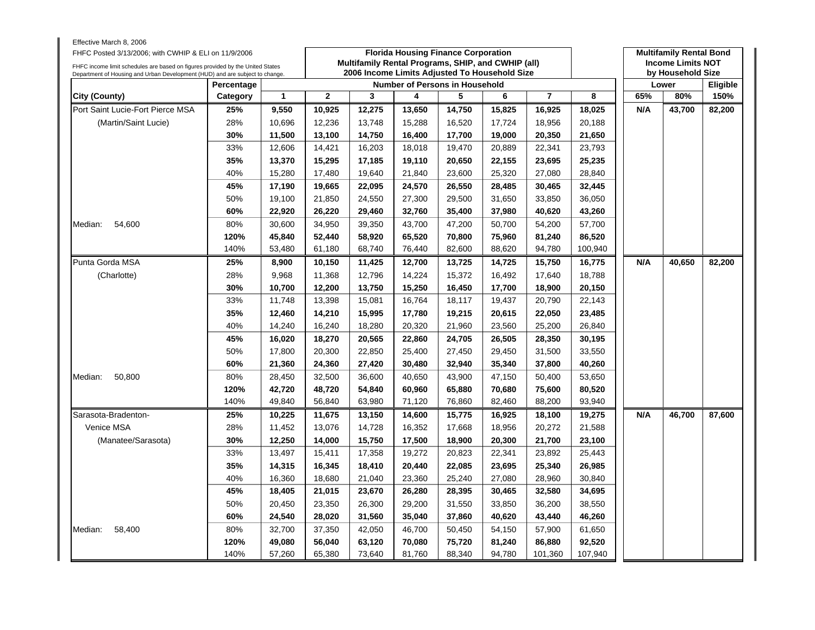| Effective March 8, 2006<br>FHFC Posted 3/13/2006; with CWHIP & ELI on 11/9/2006                                                                                |            |              |              | Multifamily Rental Programs, SHIP, and CWHIP (all) |        | <b>Florida Housing Finance Corporation</b> |        |                |         |     | <b>Multifamily Rental Bond</b><br><b>Income Limits NOT</b> |          |
|----------------------------------------------------------------------------------------------------------------------------------------------------------------|------------|--------------|--------------|----------------------------------------------------|--------|--------------------------------------------|--------|----------------|---------|-----|------------------------------------------------------------|----------|
| FHFC income limit schedules are based on figures provided by the United States<br>Department of Housing and Urban Development (HUD) and are subject to change. |            |              |              | 2006 Income Limits Adjusted To Household Size      |        |                                            |        |                |         |     | by Household Size                                          |          |
|                                                                                                                                                                | Percentage |              |              |                                                    |        | <b>Number of Persons in Household</b>      |        |                |         |     | Lower                                                      | Eligible |
| City (County)                                                                                                                                                  | Category   | $\mathbf{1}$ | $\mathbf{2}$ | 3                                                  | 4      | 5                                          | 6      | $\overline{7}$ | 8       | 65% | 80%                                                        | 150%     |
| Port Saint Lucie-Fort Pierce MSA                                                                                                                               | 25%        | 9,550        | 10,925       | 12,275                                             | 13,650 | 14,750                                     | 15,825 | 16,925         | 18,025  | N/A | 43,700                                                     | 82,200   |
| (Martin/Saint Lucie)                                                                                                                                           | 28%        | 10,696       | 12,236       | 13,748                                             | 15,288 | 16,520                                     | 17,724 | 18,956         | 20,188  |     |                                                            |          |
|                                                                                                                                                                | 30%        | 11,500       | 13,100       | 14,750                                             | 16,400 | 17,700                                     | 19,000 | 20,350         | 21,650  |     |                                                            |          |
|                                                                                                                                                                | 33%        | 12,606       | 14,421       | 16,203                                             | 18,018 | 19,470                                     | 20,889 | 22,341         | 23,793  |     |                                                            |          |
|                                                                                                                                                                | 35%        | 13,370       | 15,295       | 17,185                                             | 19,110 | 20,650                                     | 22,155 | 23,695         | 25,235  |     |                                                            |          |
|                                                                                                                                                                | 40%        | 15,280       | 17,480       | 19,640                                             | 21,840 | 23,600                                     | 25,320 | 27,080         | 28,840  |     |                                                            |          |
|                                                                                                                                                                | 45%        | 17,190       | 19,665       | 22,095                                             | 24,570 | 26,550                                     | 28,485 | 30,465         | 32,445  |     |                                                            |          |
|                                                                                                                                                                | 50%        | 19,100       | 21,850       | 24,550                                             | 27,300 | 29,500                                     | 31,650 | 33,850         | 36,050  |     |                                                            |          |
|                                                                                                                                                                | 60%        | 22,920       | 26,220       | 29,460                                             | 32,760 | 35,400                                     | 37,980 | 40,620         | 43,260  |     |                                                            |          |
| Median:<br>54,600                                                                                                                                              | 80%        | 30,600       | 34,950       | 39,350                                             | 43,700 | 47,200                                     | 50,700 | 54,200         | 57,700  |     |                                                            |          |
|                                                                                                                                                                | 120%       | 45,840       | 52,440       | 58,920                                             | 65,520 | 70,800                                     | 75,960 | 81,240         | 86,520  |     |                                                            |          |
|                                                                                                                                                                | 140%       | 53,480       | 61,180       | 68,740                                             | 76,440 | 82,600                                     | 88,620 | 94,780         | 100,940 |     |                                                            |          |
| Punta Gorda MSA                                                                                                                                                | 25%        | 8,900        | 10,150       | 11,425                                             | 12,700 | 13,725                                     | 14,725 | 15,750         | 16,775  | N/A | 40,650                                                     | 82,200   |
| (Charlotte)                                                                                                                                                    | 28%        | 9,968        | 11,368       | 12,796                                             | 14,224 | 15,372                                     | 16,492 | 17,640         | 18,788  |     |                                                            |          |
|                                                                                                                                                                | 30%        | 10,700       | 12,200       | 13,750                                             | 15,250 | 16,450                                     | 17,700 | 18,900         | 20,150  |     |                                                            |          |
|                                                                                                                                                                | 33%        | 11,748       | 13,398       | 15,081                                             | 16,764 | 18,117                                     | 19,437 | 20,790         | 22,143  |     |                                                            |          |
|                                                                                                                                                                | 35%        | 12,460       | 14,210       | 15,995                                             | 17,780 | 19,215                                     | 20,615 | 22,050         | 23,485  |     |                                                            |          |
|                                                                                                                                                                | 40%        | 14,240       | 16,240       | 18,280                                             | 20,320 | 21,960                                     | 23,560 | 25,200         | 26,840  |     |                                                            |          |
|                                                                                                                                                                | 45%        | 16,020       | 18,270       | 20,565                                             | 22,860 | 24,705                                     | 26,505 | 28,350         | 30,195  |     |                                                            |          |
|                                                                                                                                                                | 50%        | 17,800       | 20,300       | 22,850                                             | 25,400 | 27,450                                     | 29,450 | 31,500         | 33,550  |     |                                                            |          |
|                                                                                                                                                                | 60%        | 21,360       | 24,360       | 27,420                                             | 30,480 | 32,940                                     | 35,340 | 37,800         | 40,260  |     |                                                            |          |
| 50,800<br>Median:                                                                                                                                              | 80%        | 28,450       | 32,500       | 36,600                                             | 40,650 | 43,900                                     | 47,150 | 50,400         | 53,650  |     |                                                            |          |
|                                                                                                                                                                | 120%       | 42,720       | 48,720       | 54,840                                             | 60,960 | 65,880                                     | 70,680 | 75,600         | 80,520  |     |                                                            |          |
|                                                                                                                                                                | 140%       | 49,840       | 56,840       | 63,980                                             | 71,120 | 76,860                                     | 82,460 | 88,200         | 93,940  |     |                                                            |          |
| Sarasota-Bradenton-                                                                                                                                            | 25%        | 10,225       | 11,675       | 13,150                                             | 14,600 | 15,775                                     | 16,925 | 18,100         | 19,275  | N/A | 46,700                                                     | 87,600   |
| Venice MSA                                                                                                                                                     | 28%        | 11,452       | 13,076       | 14,728                                             | 16,352 | 17,668                                     | 18,956 | 20,272         | 21,588  |     |                                                            |          |
| (Manatee/Sarasota)                                                                                                                                             | 30%        | 12,250       | 14,000       | 15,750                                             | 17,500 | 18,900                                     | 20,300 | 21,700         | 23,100  |     |                                                            |          |
|                                                                                                                                                                | 33%        | 13,497       | 15,411       | 17,358                                             | 19,272 | 20,823                                     | 22,341 | 23,892         | 25,443  |     |                                                            |          |
|                                                                                                                                                                | 35%        | 14,315       | 16,345       | 18,410                                             | 20,440 | 22,085                                     | 23,695 | 25,340         | 26,985  |     |                                                            |          |
|                                                                                                                                                                | 40%        | 16,360       | 18,680       | 21,040                                             | 23,360 | 25,240                                     | 27,080 | 28,960         | 30,840  |     |                                                            |          |
|                                                                                                                                                                | 45%        | 18,405       | 21,015       | 23,670                                             | 26,280 | 28,395                                     | 30,465 | 32,580         | 34,695  |     |                                                            |          |
|                                                                                                                                                                | 50%        | 20,450       | 23,350       | 26,300                                             | 29,200 | 31,550                                     | 33,850 | 36,200         | 38,550  |     |                                                            |          |
|                                                                                                                                                                | 60%        | 24,540       | 28,020       | 31,560                                             | 35,040 | 37,860                                     | 40,620 | 43,440         | 46,260  |     |                                                            |          |
| Median:<br>58,400                                                                                                                                              | 80%        | 32,700       | 37,350       | 42,050                                             | 46,700 | 50,450                                     | 54,150 | 57,900         | 61,650  |     |                                                            |          |
|                                                                                                                                                                | 120%       | 49,080       | 56,040       | 63,120                                             | 70,080 | 75,720                                     | 81,240 | 86,880         | 92,520  |     |                                                            |          |
|                                                                                                                                                                | 140%       | 57,260       | 65,380       | 73,640                                             | 81,760 | 88,340                                     | 94,780 | 101,360        | 107,940 |     |                                                            |          |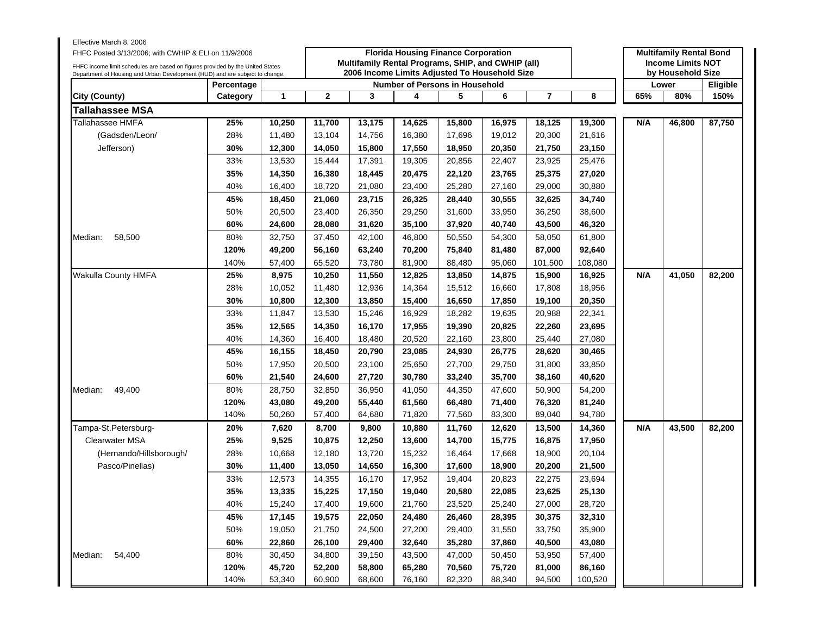| Effective March 8, 2006<br>FHFC Posted 3/13/2006; with CWHIP & ELI on 11/9/2006<br>FHFC income limit schedules are based on figures provided by the United States<br>Department of Housing and Urban Development (HUD) and are subject to change. |            |        |              | Multifamily Rental Programs, SHIP, and CWHIP (all)<br>2006 Income Limits Adjusted To Household Size | <b>Florida Housing Finance Corporation</b> |        |        |                |         |     | <b>Multifamily Rental Bond</b><br><b>Income Limits NOT</b><br>by Household Size |          |
|---------------------------------------------------------------------------------------------------------------------------------------------------------------------------------------------------------------------------------------------------|------------|--------|--------------|-----------------------------------------------------------------------------------------------------|--------------------------------------------|--------|--------|----------------|---------|-----|---------------------------------------------------------------------------------|----------|
|                                                                                                                                                                                                                                                   | Percentage |        |              |                                                                                                     | <b>Number of Persons in Household</b>      |        |        |                |         |     | Lower                                                                           | Eligible |
| <b>City (County)</b>                                                                                                                                                                                                                              | Category   | 1      | $\mathbf{2}$ | 3                                                                                                   | 4                                          | 5      | 6      | $\overline{7}$ | 8       | 65% | 80%                                                                             | 150%     |
| <b>Tallahassee MSA</b>                                                                                                                                                                                                                            |            |        |              |                                                                                                     |                                            |        |        |                |         |     |                                                                                 |          |
| Tallahassee HMFA                                                                                                                                                                                                                                  | 25%        | 10,250 | 11,700       | 13,175                                                                                              | 14,625                                     | 15,800 | 16,975 | 18,125         | 19,300  | N/A | 46,800                                                                          | 87,750   |
| (Gadsden/Leon/                                                                                                                                                                                                                                    | 28%        | 11,480 | 13,104       | 14,756                                                                                              | 16,380                                     | 17,696 | 19,012 | 20,300         | 21,616  |     |                                                                                 |          |
| Jefferson)                                                                                                                                                                                                                                        | 30%        | 12,300 | 14,050       | 15,800                                                                                              | 17,550                                     | 18,950 | 20,350 | 21,750         | 23,150  |     |                                                                                 |          |
|                                                                                                                                                                                                                                                   | 33%        | 13,530 | 15,444       | 17,391                                                                                              | 19,305                                     | 20,856 | 22,407 | 23,925         | 25,476  |     |                                                                                 |          |
|                                                                                                                                                                                                                                                   | 35%        | 14,350 | 16,380       | 18,445                                                                                              | 20,475                                     | 22,120 | 23,765 | 25,375         | 27,020  |     |                                                                                 |          |
|                                                                                                                                                                                                                                                   | 40%        | 16,400 | 18,720       | 21,080                                                                                              | 23,400                                     | 25,280 | 27,160 | 29,000         | 30,880  |     |                                                                                 |          |
|                                                                                                                                                                                                                                                   | 45%        | 18,450 | 21,060       | 23,715                                                                                              | 26,325                                     | 28,440 | 30,555 | 32,625         | 34,740  |     |                                                                                 |          |
|                                                                                                                                                                                                                                                   | 50%        | 20,500 | 23,400       | 26,350                                                                                              | 29,250                                     | 31,600 | 33,950 | 36,250         | 38,600  |     |                                                                                 |          |
|                                                                                                                                                                                                                                                   | 60%        | 24,600 | 28,080       | 31,620                                                                                              | 35,100                                     | 37,920 | 40,740 | 43,500         | 46,320  |     |                                                                                 |          |
| 58,500<br>Median:                                                                                                                                                                                                                                 | 80%        | 32,750 | 37,450       | 42,100                                                                                              | 46,800                                     | 50,550 | 54,300 | 58,050         | 61,800  |     |                                                                                 |          |
|                                                                                                                                                                                                                                                   | 120%       | 49,200 | 56,160       | 63,240                                                                                              | 70,200                                     | 75,840 | 81,480 | 87,000         | 92,640  |     |                                                                                 |          |
|                                                                                                                                                                                                                                                   | 140%       | 57,400 | 65,520       | 73,780                                                                                              | 81,900                                     | 88,480 | 95,060 | 101,500        | 108,080 |     |                                                                                 |          |
| Wakulla County HMFA                                                                                                                                                                                                                               | 25%        | 8,975  | 10,250       | 11,550                                                                                              | 12,825                                     | 13,850 | 14,875 | 15,900         | 16,925  | N/A | 41,050                                                                          | 82,200   |
|                                                                                                                                                                                                                                                   | 28%        | 10,052 | 11,480       | 12,936                                                                                              | 14,364                                     | 15,512 | 16,660 | 17,808         | 18,956  |     |                                                                                 |          |
|                                                                                                                                                                                                                                                   | 30%        | 10,800 | 12,300       | 13,850                                                                                              | 15,400                                     | 16,650 | 17,850 | 19,100         | 20,350  |     |                                                                                 |          |
|                                                                                                                                                                                                                                                   | 33%        | 11,847 | 13,530       | 15,246                                                                                              | 16,929                                     | 18,282 | 19,635 | 20,988         | 22,341  |     |                                                                                 |          |
|                                                                                                                                                                                                                                                   | 35%        | 12,565 | 14,350       | 16,170                                                                                              | 17,955                                     | 19,390 | 20,825 | 22,260         | 23,695  |     |                                                                                 |          |
|                                                                                                                                                                                                                                                   | 40%        | 14,360 | 16,400       | 18,480                                                                                              | 20,520                                     | 22,160 | 23,800 | 25,440         | 27,080  |     |                                                                                 |          |
|                                                                                                                                                                                                                                                   | 45%        | 16,155 | 18,450       | 20,790                                                                                              | 23,085                                     | 24,930 | 26,775 | 28,620         | 30,465  |     |                                                                                 |          |
|                                                                                                                                                                                                                                                   | 50%        | 17,950 | 20,500       | 23,100                                                                                              | 25,650                                     | 27,700 | 29,750 | 31,800         | 33,850  |     |                                                                                 |          |
|                                                                                                                                                                                                                                                   | 60%        | 21,540 | 24,600       | 27,720                                                                                              | 30,780                                     | 33,240 | 35,700 | 38,160         | 40,620  |     |                                                                                 |          |
| 49,400<br>Median:                                                                                                                                                                                                                                 | 80%        | 28,750 | 32,850       | 36,950                                                                                              | 41,050                                     | 44,350 | 47,600 | 50,900         | 54,200  |     |                                                                                 |          |
|                                                                                                                                                                                                                                                   | 120%       | 43,080 | 49,200       | 55,440                                                                                              | 61,560                                     | 66,480 | 71,400 | 76,320         | 81,240  |     |                                                                                 |          |
|                                                                                                                                                                                                                                                   | 140%       | 50,260 | 57,400       | 64,680                                                                                              | 71,820                                     | 77,560 | 83,300 | 89,040         | 94,780  |     |                                                                                 |          |
| Tampa-St.Petersburg-                                                                                                                                                                                                                              | 20%        | 7,620  | 8,700        | 9,800                                                                                               | 10,880                                     | 11,760 | 12,620 | 13,500         | 14,360  | N/A | 43,500                                                                          | 82,200   |
| Clearwater MSA                                                                                                                                                                                                                                    | 25%        | 9,525  | 10,875       | 12,250                                                                                              | 13,600                                     | 14,700 | 15,775 | 16,875         | 17,950  |     |                                                                                 |          |
| (Hernando/Hillsborough/                                                                                                                                                                                                                           | 28%        | 10,668 | 12,180       | 13,720                                                                                              | 15,232                                     | 16,464 | 17,668 | 18,900         | 20,104  |     |                                                                                 |          |
| Pasco/Pinellas)                                                                                                                                                                                                                                   | 30%        | 11,400 | 13,050       | 14,650                                                                                              | 16,300                                     | 17,600 | 18,900 | 20,200         | 21,500  |     |                                                                                 |          |
|                                                                                                                                                                                                                                                   | 33%        | 12,573 | 14,355       | 16,170                                                                                              | 17,952                                     | 19,404 | 20,823 | 22,275         | 23,694  |     |                                                                                 |          |
|                                                                                                                                                                                                                                                   | 35%        | 13,335 | 15,225       | 17,150                                                                                              | 19,040                                     | 20,580 | 22,085 | 23,625         | 25,130  |     |                                                                                 |          |
|                                                                                                                                                                                                                                                   | 40%        | 15,240 | 17,400       | 19,600                                                                                              | 21,760                                     | 23,520 | 25,240 | 27,000         | 28,720  |     |                                                                                 |          |
|                                                                                                                                                                                                                                                   | 45%        | 17,145 | 19,575       | 22,050                                                                                              | 24,480                                     | 26,460 | 28,395 | 30,375         | 32,310  |     |                                                                                 |          |
|                                                                                                                                                                                                                                                   | 50%        | 19,050 | 21,750       | 24,500                                                                                              | 27,200                                     | 29,400 | 31,550 | 33,750         | 35,900  |     |                                                                                 |          |
|                                                                                                                                                                                                                                                   | 60%        | 22,860 | 26,100       | 29,400                                                                                              | 32,640                                     | 35,280 | 37,860 | 40,500         | 43,080  |     |                                                                                 |          |
| 54,400<br>Median:                                                                                                                                                                                                                                 | 80%        | 30,450 | 34,800       | 39,150                                                                                              | 43,500                                     | 47,000 | 50,450 | 53,950         | 57,400  |     |                                                                                 |          |
|                                                                                                                                                                                                                                                   | 120%       | 45,720 | 52,200       | 58,800                                                                                              | 65,280                                     | 70,560 | 75,720 | 81,000         | 86,160  |     |                                                                                 |          |
|                                                                                                                                                                                                                                                   | 140%       | 53,340 | 60,900       | 68,600                                                                                              | 76,160                                     | 82,320 | 88,340 | 94,500         | 100,520 |     |                                                                                 |          |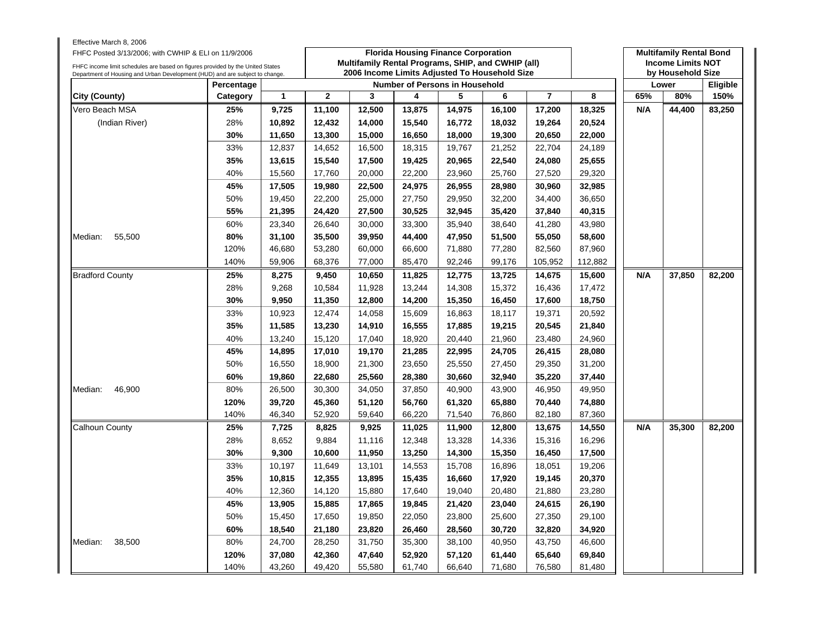| Effective March 8, 2006<br>FHFC Posted 3/13/2006; with CWHIP & ELI on 11/9/2006                                                                                |            |        |                |                                                                                                     |        | <b>Florida Housing Finance Corporation</b> |        |                |         |     | <b>Multifamily Rental Bond</b>                |                 |
|----------------------------------------------------------------------------------------------------------------------------------------------------------------|------------|--------|----------------|-----------------------------------------------------------------------------------------------------|--------|--------------------------------------------|--------|----------------|---------|-----|-----------------------------------------------|-----------------|
| FHFC income limit schedules are based on figures provided by the United States<br>Department of Housing and Urban Development (HUD) and are subject to change. |            |        |                | Multifamily Rental Programs, SHIP, and CWHIP (all)<br>2006 Income Limits Adjusted To Household Size |        |                                            |        |                |         |     | <b>Income Limits NOT</b><br>by Household Size |                 |
|                                                                                                                                                                | Percentage |        |                |                                                                                                     |        | <b>Number of Persons in Household</b>      |        |                |         |     | Lower                                         | <b>Eligible</b> |
| City (County)                                                                                                                                                  | Category   | 1      | $\overline{2}$ | 3                                                                                                   | 4      | 5                                          | 6      | $\overline{7}$ | 8       | 65% | 80%                                           | 150%            |
| Vero Beach MSA                                                                                                                                                 | 25%        | 9,725  | 11,100         | 12,500                                                                                              | 13,875 | 14,975                                     | 16,100 | 17,200         | 18,325  | N/A | 44,400                                        | 83,250          |
| (Indian River)                                                                                                                                                 | 28%        | 10,892 | 12,432         | 14,000                                                                                              | 15,540 | 16,772                                     | 18,032 | 19,264         | 20,524  |     |                                               |                 |
|                                                                                                                                                                | 30%        | 11,650 | 13,300         | 15,000                                                                                              | 16,650 | 18,000                                     | 19,300 | 20,650         | 22,000  |     |                                               |                 |
|                                                                                                                                                                | 33%        | 12,837 | 14,652         | 16,500                                                                                              | 18,315 | 19,767                                     | 21,252 | 22,704         | 24,189  |     |                                               |                 |
|                                                                                                                                                                | 35%        | 13,615 | 15,540         | 17,500                                                                                              | 19,425 | 20,965                                     | 22,540 | 24,080         | 25,655  |     |                                               |                 |
|                                                                                                                                                                | 40%        | 15,560 | 17,760         | 20,000                                                                                              | 22,200 | 23,960                                     | 25,760 | 27,520         | 29,320  |     |                                               |                 |
|                                                                                                                                                                | 45%        | 17,505 | 19,980         | 22,500                                                                                              | 24,975 | 26,955                                     | 28,980 | 30,960         | 32,985  |     |                                               |                 |
|                                                                                                                                                                | 50%        | 19,450 | 22,200         | 25,000                                                                                              | 27,750 | 29,950                                     | 32,200 | 34,400         | 36,650  |     |                                               |                 |
|                                                                                                                                                                | 55%        | 21,395 | 24,420         | 27,500                                                                                              | 30,525 | 32,945                                     | 35,420 | 37,840         | 40,315  |     |                                               |                 |
|                                                                                                                                                                | 60%        | 23,340 | 26,640         | 30,000                                                                                              | 33,300 | 35,940                                     | 38,640 | 41,280         | 43,980  |     |                                               |                 |
| Median:<br>55,500                                                                                                                                              | 80%        | 31,100 | 35,500         | 39,950                                                                                              | 44,400 | 47,950                                     | 51,500 | 55,050         | 58,600  |     |                                               |                 |
|                                                                                                                                                                | 120%       | 46,680 | 53,280         | 60,000                                                                                              | 66,600 | 71,880                                     | 77,280 | 82,560         | 87,960  |     |                                               |                 |
|                                                                                                                                                                | 140%       | 59,906 | 68,376         | 77,000                                                                                              | 85,470 | 92,246                                     | 99,176 | 105,952        | 112,882 |     |                                               |                 |
| <b>Bradford County</b>                                                                                                                                         | 25%        | 8,275  | 9,450          | 10,650                                                                                              | 11,825 | 12,775                                     | 13,725 | 14,675         | 15,600  | N/A | 37,850                                        | 82,200          |
|                                                                                                                                                                | 28%        | 9,268  | 10,584         | 11,928                                                                                              | 13,244 | 14,308                                     | 15,372 | 16,436         | 17,472  |     |                                               |                 |
|                                                                                                                                                                | 30%        | 9,950  | 11,350         | 12,800                                                                                              | 14,200 | 15,350                                     | 16,450 | 17,600         | 18,750  |     |                                               |                 |
|                                                                                                                                                                | 33%        | 10,923 | 12,474         | 14,058                                                                                              | 15,609 | 16,863                                     | 18,117 | 19,371         | 20,592  |     |                                               |                 |
|                                                                                                                                                                | 35%        | 11,585 | 13,230         | 14,910                                                                                              | 16,555 | 17,885                                     | 19,215 | 20,545         | 21,840  |     |                                               |                 |
|                                                                                                                                                                | 40%        | 13,240 | 15,120         | 17,040                                                                                              | 18,920 | 20,440                                     | 21,960 | 23,480         | 24,960  |     |                                               |                 |
|                                                                                                                                                                | 45%        | 14,895 | 17,010         | 19,170                                                                                              | 21,285 | 22,995                                     | 24,705 | 26,415         | 28,080  |     |                                               |                 |
|                                                                                                                                                                | 50%        | 16,550 | 18,900         | 21,300                                                                                              | 23,650 | 25,550                                     | 27,450 | 29,350         | 31,200  |     |                                               |                 |
|                                                                                                                                                                | 60%        | 19,860 | 22,680         | 25,560                                                                                              | 28,380 | 30,660                                     | 32,940 | 35,220         | 37,440  |     |                                               |                 |
| 46,900<br>Median:                                                                                                                                              | 80%        | 26,500 | 30,300         | 34,050                                                                                              | 37,850 | 40,900                                     | 43,900 | 46,950         | 49,950  |     |                                               |                 |
|                                                                                                                                                                | 120%       | 39,720 | 45,360         | 51,120                                                                                              | 56,760 | 61,320                                     | 65,880 | 70,440         | 74,880  |     |                                               |                 |
|                                                                                                                                                                | 140%       | 46,340 | 52,920         | 59,640                                                                                              | 66,220 | 71,540                                     | 76,860 | 82,180         | 87,360  |     |                                               |                 |
| <b>Calhoun County</b>                                                                                                                                          | 25%        | 7,725  | 8,825          | 9,925                                                                                               | 11,025 | 11,900                                     | 12,800 | 13,675         | 14,550  | N/A | 35,300                                        | 82,200          |
|                                                                                                                                                                | 28%        | 8,652  | 9,884          | 11,116                                                                                              | 12,348 | 13,328                                     | 14,336 | 15,316         | 16,296  |     |                                               |                 |
|                                                                                                                                                                | 30%        | 9,300  | 10,600         | 11,950                                                                                              | 13,250 | 14,300                                     | 15,350 | 16,450         | 17,500  |     |                                               |                 |
|                                                                                                                                                                | 33%        | 10,197 | 11,649         | 13,101                                                                                              | 14,553 | 15,708                                     | 16,896 | 18,051         | 19,206  |     |                                               |                 |
|                                                                                                                                                                | 35%        | 10,815 | 12,355         | 13,895                                                                                              | 15,435 | 16,660                                     | 17,920 | 19,145         | 20,370  |     |                                               |                 |
|                                                                                                                                                                | 40%        | 12,360 | 14,120         | 15,880                                                                                              | 17,640 | 19,040                                     | 20,480 | 21,880         | 23,280  |     |                                               |                 |
|                                                                                                                                                                | 45%        | 13,905 | 15,885         | 17,865                                                                                              | 19,845 | 21,420                                     | 23,040 | 24,615         | 26,190  |     |                                               |                 |
|                                                                                                                                                                | 50%        | 15,450 | 17,650         | 19,850                                                                                              | 22,050 | 23,800                                     | 25,600 | 27,350         | 29,100  |     |                                               |                 |
|                                                                                                                                                                | 60%        | 18,540 | 21,180         | 23,820                                                                                              | 26,460 | 28,560                                     | 30,720 | 32,820         | 34,920  |     |                                               |                 |
| 38,500<br>Median:                                                                                                                                              | 80%        | 24,700 | 28,250         | 31,750                                                                                              | 35,300 | 38,100                                     | 40,950 | 43,750         | 46,600  |     |                                               |                 |
|                                                                                                                                                                | 120%       | 37,080 | 42,360         | 47,640                                                                                              | 52,920 | 57,120                                     | 61,440 | 65,640         | 69,840  |     |                                               |                 |
|                                                                                                                                                                | 140%       | 43,260 | 49,420         | 55,580                                                                                              | 61,740 | 66,640                                     | 71,680 | 76,580         | 81,480  |     |                                               |                 |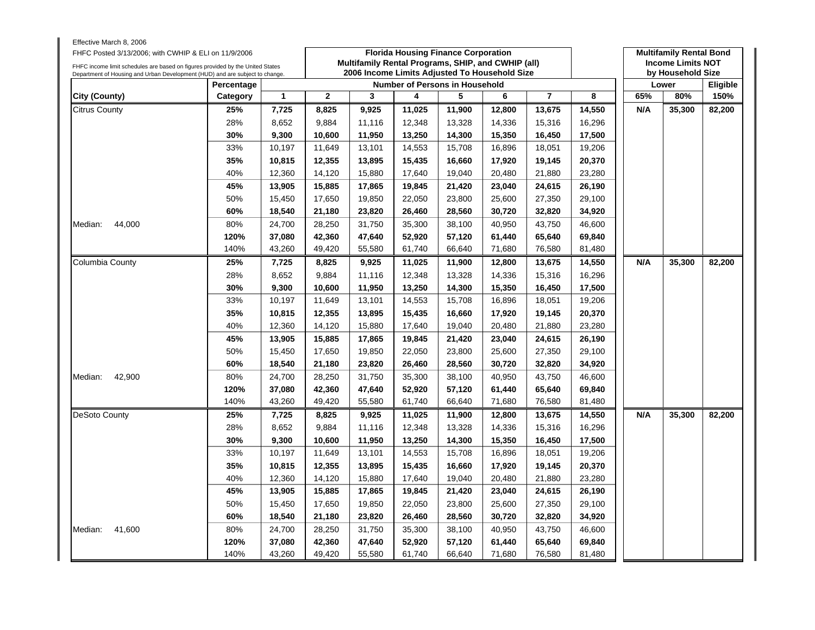| Effective March 8, 2006<br>FHFC Posted 3/13/2006; with CWHIP & ELI on 11/9/2006<br>FHFC income limit schedules are based on figures provided by the United States<br>Department of Housing and Urban Development (HUD) and are subject to change. |            |              |                  | Multifamily Rental Programs, SHIP, and CWHIP (all)<br>2006 Income Limits Adjusted To Household Size | <b>Florida Housing Finance Corporation</b> |                  |        |                  |                  |     | <b>Multifamily Rental Bond</b><br><b>Income Limits NOT</b><br>by Household Size |          |
|---------------------------------------------------------------------------------------------------------------------------------------------------------------------------------------------------------------------------------------------------|------------|--------------|------------------|-----------------------------------------------------------------------------------------------------|--------------------------------------------|------------------|--------|------------------|------------------|-----|---------------------------------------------------------------------------------|----------|
|                                                                                                                                                                                                                                                   | Percentage |              |                  |                                                                                                     | Number of Persons in Household             |                  |        |                  |                  |     | Lower                                                                           | Eligible |
| City (County)                                                                                                                                                                                                                                     | Category   | $\mathbf{1}$ | $\overline{2}$   | 3                                                                                                   | 4                                          | 5                | 6      | $\overline{7}$   | 8                | 65% | 80%                                                                             | 150%     |
| <b>Citrus County</b>                                                                                                                                                                                                                              | 25%        | 7,725        | 8,825            | 9,925                                                                                               | 11,025                                     | 11,900           | 12,800 | 13,675           | 14,550           | N/A | 35,300                                                                          | 82,200   |
|                                                                                                                                                                                                                                                   | 28%        | 8,652        | 9,884            | 11,116                                                                                              | 12,348                                     | 13,328           | 14,336 | 15,316           | 16,296           |     |                                                                                 |          |
|                                                                                                                                                                                                                                                   | 30%        | 9,300        | 10,600           | 11,950                                                                                              | 13,250                                     | 14,300           | 15,350 | 16,450           | 17,500           |     |                                                                                 |          |
|                                                                                                                                                                                                                                                   | 33%        | 10,197       | 11,649           | 13,101                                                                                              | 14,553                                     | 15,708           | 16,896 | 18,051           | 19,206           |     |                                                                                 |          |
|                                                                                                                                                                                                                                                   | 35%        | 10,815       | 12,355           | 13,895                                                                                              | 15,435                                     | 16,660           | 17,920 | 19,145           | 20,370           |     |                                                                                 |          |
|                                                                                                                                                                                                                                                   | 40%        | 12,360       | 14,120           | 15,880                                                                                              | 17,640                                     | 19,040           | 20,480 | 21,880           | 23,280           |     |                                                                                 |          |
|                                                                                                                                                                                                                                                   | 45%        | 13,905       | 15,885           | 17,865                                                                                              | 19,845                                     | 21,420           | 23,040 | 24,615           | 26,190           |     |                                                                                 |          |
|                                                                                                                                                                                                                                                   | 50%        | 15,450       | 17,650           | 19,850                                                                                              | 22,050                                     | 23,800           | 25,600 | 27,350           | 29,100           |     |                                                                                 |          |
|                                                                                                                                                                                                                                                   | 60%        | 18,540       | 21,180           | 23,820                                                                                              | 26,460                                     | 28,560           | 30,720 | 32,820           | 34,920           |     |                                                                                 |          |
| 44,000<br>Median:                                                                                                                                                                                                                                 | 80%        | 24,700       | 28,250           | 31,750                                                                                              | 35,300                                     | 38,100           | 40,950 | 43,750           | 46,600           |     |                                                                                 |          |
|                                                                                                                                                                                                                                                   | 120%       | 37,080       | 42,360           | 47,640                                                                                              | 52,920                                     | 57,120           | 61,440 | 65,640           | 69,840           |     |                                                                                 |          |
|                                                                                                                                                                                                                                                   | 140%       | 43,260       | 49,420           | 55,580                                                                                              | 61,740                                     | 66,640           | 71,680 | 76,580           | 81,480           |     |                                                                                 |          |
| Columbia County                                                                                                                                                                                                                                   | 25%        | 7,725        | 8,825            | 9,925                                                                                               | 11,025                                     | 11,900           | 12,800 | 13,675           | 14,550           | N/A | 35,300                                                                          | 82,200   |
|                                                                                                                                                                                                                                                   | 28%        | 8,652        | 9,884            | 11,116                                                                                              | 12,348                                     | 13,328           | 14,336 | 15,316           | 16,296           |     |                                                                                 |          |
|                                                                                                                                                                                                                                                   | 30%        | 9,300        | 10,600           | 11,950                                                                                              | 13,250                                     | 14,300           | 15,350 | 16,450           | 17,500           |     |                                                                                 |          |
|                                                                                                                                                                                                                                                   | 33%        | 10,197       | 11,649           | 13,101                                                                                              | 14,553                                     | 15,708           | 16,896 | 18,051           | 19,206           |     |                                                                                 |          |
|                                                                                                                                                                                                                                                   | 35%        | 10,815       | 12,355           | 13,895                                                                                              | 15,435                                     | 16,660           | 17,920 | 19,145           | 20,370           |     |                                                                                 |          |
|                                                                                                                                                                                                                                                   | 40%        | 12,360       | 14,120           | 15,880                                                                                              | 17,640                                     | 19,040           | 20,480 | 21,880           | 23,280           |     |                                                                                 |          |
|                                                                                                                                                                                                                                                   | 45%        | 13,905       | 15,885           | 17,865                                                                                              | 19,845                                     | 21,420           | 23,040 | 24,615           | 26,190           |     |                                                                                 |          |
|                                                                                                                                                                                                                                                   | 50%        | 15,450       | 17,650           | 19,850                                                                                              | 22,050                                     | 23,800           | 25,600 | 27,350           | 29,100           |     |                                                                                 |          |
|                                                                                                                                                                                                                                                   | 60%        | 18,540       | 21,180           | 23,820                                                                                              | 26,460                                     | 28,560           | 30,720 | 32,820           | 34,920           |     |                                                                                 |          |
| 42,900<br>Median:                                                                                                                                                                                                                                 | 80%        | 24,700       | 28,250           | 31,750                                                                                              | 35,300                                     | 38,100           | 40,950 | 43,750           | 46,600           |     |                                                                                 |          |
|                                                                                                                                                                                                                                                   | 120%       | 37,080       | 42,360           | 47,640                                                                                              | 52,920                                     | 57,120           | 61,440 | 65,640           | 69,840           |     |                                                                                 |          |
|                                                                                                                                                                                                                                                   | 140%       | 43,260       | 49,420           | 55,580                                                                                              | 61,740                                     | 66,640           | 71,680 | 76,580           | 81,480           |     |                                                                                 |          |
| DeSoto County                                                                                                                                                                                                                                     | 25%        | 7,725        | 8,825            | 9,925                                                                                               | 11,025                                     | 11,900           | 12,800 | 13,675           | 14,550           | N/A | 35,300                                                                          | 82,200   |
|                                                                                                                                                                                                                                                   | 28%        | 8,652        | 9,884            | 11,116                                                                                              | 12,348                                     | 13,328           | 14,336 | 15,316           | 16,296           |     |                                                                                 |          |
|                                                                                                                                                                                                                                                   | 30%        | 9.300        | 10,600           | 11,950                                                                                              | 13,250                                     | 14,300           | 15,350 | 16,450           | 17,500           |     |                                                                                 |          |
|                                                                                                                                                                                                                                                   | 33%        | 10,197       | 11,649           | 13,101                                                                                              | 14,553                                     | 15,708           | 16,896 | 18,051           | 19,206           |     |                                                                                 |          |
|                                                                                                                                                                                                                                                   | 35%        | 10,815       | 12,355           | 13,895                                                                                              | 15,435                                     | 16,660           | 17,920 | 19,145           | 20,370           |     |                                                                                 |          |
|                                                                                                                                                                                                                                                   | 40%        | 12,360       | 14,120           | 15,880                                                                                              | 17,640                                     | 19,040           | 20,480 | 21,880           | 23,280           |     |                                                                                 |          |
|                                                                                                                                                                                                                                                   | 45%        | 13,905       | 15,885           | 17,865                                                                                              | 19,845                                     | 21,420           | 23,040 | 24,615           | 26,190           |     |                                                                                 |          |
|                                                                                                                                                                                                                                                   | 50%        | 15,450       | 17,650           | 19,850                                                                                              | 22,050                                     | 23,800           | 25,600 | 27,350           | 29,100           |     |                                                                                 |          |
|                                                                                                                                                                                                                                                   | 60%        | 18,540       | 21,180           | 23,820                                                                                              | 26,460                                     | 28,560           | 30,720 | 32,820           | 34,920           |     |                                                                                 |          |
| Median:<br>41,600                                                                                                                                                                                                                                 | 80%        | 24,700       | 28,250           | 31,750                                                                                              | 35,300                                     | 38,100           | 40,950 | 43,750           | 46,600           |     |                                                                                 |          |
|                                                                                                                                                                                                                                                   | 120%       | 37,080       |                  |                                                                                                     |                                            |                  | 61,440 |                  |                  |     |                                                                                 |          |
|                                                                                                                                                                                                                                                   | 140%       | 43,260       | 42,360<br>49,420 | 47,640<br>55,580                                                                                    | 52,920<br>61,740                           | 57,120<br>66,640 | 71,680 | 65,640<br>76,580 | 69,840<br>81,480 |     |                                                                                 |          |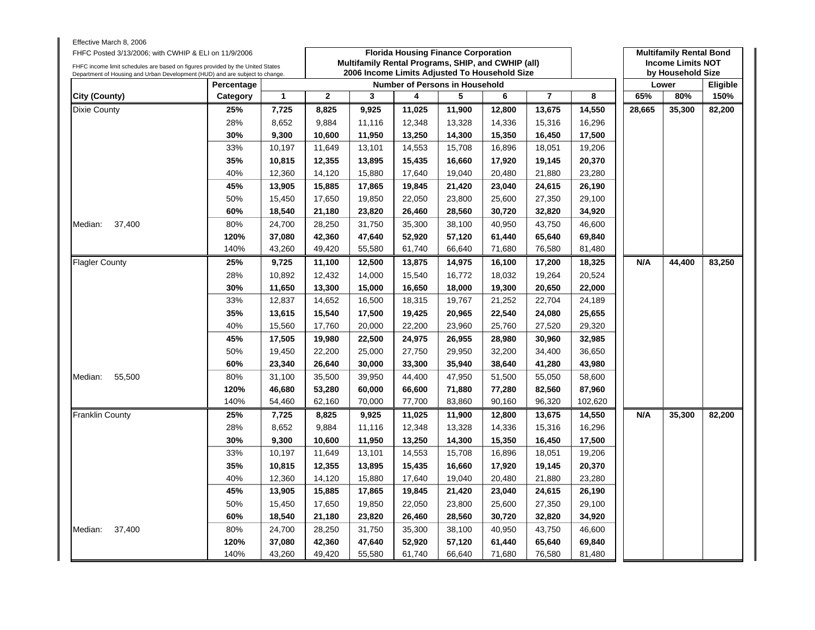| Effective March 8, 2006<br>FHFC Posted 3/13/2006; with CWHIP & ELI on 11/9/2006<br>FHFC income limit schedules are based on figures provided by the United States |            |              |              | Multifamily Rental Programs, SHIP, and CWHIP (all) |        | <b>Florida Housing Finance Corporation</b> |        |                |         |        | <b>Multifamily Rental Bond</b><br><b>Income Limits NOT</b> |          |
|-------------------------------------------------------------------------------------------------------------------------------------------------------------------|------------|--------------|--------------|----------------------------------------------------|--------|--------------------------------------------|--------|----------------|---------|--------|------------------------------------------------------------|----------|
| Department of Housing and Urban Development (HUD) and are subject to change.                                                                                      |            |              |              | 2006 Income Limits Adjusted To Household Size      |        |                                            |        |                |         |        | by Household Size                                          |          |
|                                                                                                                                                                   | Percentage |              |              |                                                    |        | <b>Number of Persons in Household</b>      |        |                |         |        | Lower                                                      | Eligible |
| City (County)                                                                                                                                                     | Category   | $\mathbf{1}$ | $\mathbf{2}$ | 3                                                  | 4      | 5                                          | 6      | $\overline{7}$ | 8       | 65%    | 80%                                                        | 150%     |
| Dixie County                                                                                                                                                      | 25%        | 7,725        | 8.825        | 9.925                                              | 11,025 | 11.900                                     | 12,800 | 13,675         | 14,550  | 28,665 | 35,300                                                     | 82,200   |
|                                                                                                                                                                   | 28%        | 8,652        | 9,884        | 11,116                                             | 12,348 | 13,328                                     | 14,336 | 15,316         | 16,296  |        |                                                            |          |
|                                                                                                                                                                   | 30%        | 9,300        | 10,600       | 11,950                                             | 13,250 | 14,300                                     | 15,350 | 16,450         | 17,500  |        |                                                            |          |
|                                                                                                                                                                   | 33%        | 10,197       | 11,649       | 13,101                                             | 14,553 | 15,708                                     | 16,896 | 18,051         | 19,206  |        |                                                            |          |
|                                                                                                                                                                   | 35%        | 10,815       | 12,355       | 13,895                                             | 15,435 | 16,660                                     | 17,920 | 19,145         | 20,370  |        |                                                            |          |
|                                                                                                                                                                   | 40%        | 12,360       | 14,120       | 15,880                                             | 17,640 | 19,040                                     | 20,480 | 21,880         | 23,280  |        |                                                            |          |
|                                                                                                                                                                   | 45%        | 13,905       | 15,885       | 17,865                                             | 19,845 | 21,420                                     | 23,040 | 24,615         | 26,190  |        |                                                            |          |
|                                                                                                                                                                   | 50%        | 15,450       | 17,650       | 19,850                                             | 22,050 | 23,800                                     | 25,600 | 27,350         | 29,100  |        |                                                            |          |
|                                                                                                                                                                   | 60%        | 18,540       | 21,180       | 23,820                                             | 26,460 | 28,560                                     | 30,720 | 32,820         | 34,920  |        |                                                            |          |
| 37,400<br>Median:                                                                                                                                                 | 80%        | 24,700       | 28,250       | 31,750                                             | 35,300 | 38,100                                     | 40,950 | 43,750         | 46,600  |        |                                                            |          |
|                                                                                                                                                                   | 120%       | 37,080       | 42,360       | 47,640                                             | 52,920 | 57,120                                     | 61,440 | 65,640         | 69,840  |        |                                                            |          |
|                                                                                                                                                                   | 140%       | 43,260       | 49,420       | 55,580                                             | 61,740 | 66,640                                     | 71,680 | 76,580         | 81,480  |        |                                                            |          |
| <b>Flagler County</b>                                                                                                                                             | 25%        | 9,725        | 11,100       | 12,500                                             | 13,875 | 14,975                                     | 16,100 | 17,200         | 18,325  | N/A    | 44,400                                                     | 83,250   |
|                                                                                                                                                                   | 28%        | 10,892       | 12,432       | 14,000                                             | 15,540 | 16,772                                     | 18,032 | 19,264         | 20,524  |        |                                                            |          |
|                                                                                                                                                                   | 30%        | 11,650       | 13,300       | 15,000                                             | 16,650 | 18,000                                     | 19,300 | 20,650         | 22,000  |        |                                                            |          |
|                                                                                                                                                                   | 33%        | 12,837       | 14,652       | 16,500                                             | 18,315 | 19,767                                     | 21,252 | 22,704         | 24,189  |        |                                                            |          |
|                                                                                                                                                                   | 35%        | 13,615       | 15,540       | 17,500                                             | 19,425 | 20,965                                     | 22,540 | 24,080         | 25,655  |        |                                                            |          |
|                                                                                                                                                                   | 40%        | 15,560       | 17,760       | 20,000                                             | 22,200 | 23,960                                     | 25,760 | 27,520         | 29,320  |        |                                                            |          |
|                                                                                                                                                                   | 45%        | 17,505       | 19,980       | 22,500                                             | 24,975 | 26,955                                     | 28,980 | 30,960         | 32,985  |        |                                                            |          |
|                                                                                                                                                                   | 50%        | 19,450       | 22,200       | 25,000                                             | 27,750 | 29,950                                     | 32,200 | 34,400         | 36,650  |        |                                                            |          |
|                                                                                                                                                                   | 60%        | 23,340       | 26,640       | 30,000                                             | 33,300 | 35,940                                     | 38,640 | 41,280         | 43,980  |        |                                                            |          |
| 55,500<br>Median:                                                                                                                                                 | 80%        | 31,100       | 35,500       | 39,950                                             | 44,400 | 47,950                                     | 51,500 | 55,050         | 58,600  |        |                                                            |          |
|                                                                                                                                                                   | 120%       | 46,680       | 53,280       | 60,000                                             | 66,600 | 71,880                                     | 77,280 | 82,560         | 87,960  |        |                                                            |          |
|                                                                                                                                                                   | 140%       | 54,460       | 62,160       | 70,000                                             | 77,700 | 83,860                                     | 90,160 | 96,320         | 102,620 |        |                                                            |          |
| <b>Franklin County</b>                                                                                                                                            | 25%        | 7,725        | 8,825        | 9,925                                              | 11,025 | 11,900                                     | 12,800 | 13,675         | 14,550  | N/A    | 35,300                                                     | 82,200   |
|                                                                                                                                                                   | 28%        | 8,652        | 9,884        | 11,116                                             | 12,348 | 13,328                                     | 14,336 | 15,316         | 16,296  |        |                                                            |          |
|                                                                                                                                                                   | 30%        | 9,300        | 10,600       | 11,950                                             | 13,250 | 14,300                                     | 15,350 | 16,450         | 17,500  |        |                                                            |          |
|                                                                                                                                                                   | 33%        | 10,197       | 11,649       | 13,101                                             | 14,553 | 15,708                                     | 16,896 | 18,051         | 19,206  |        |                                                            |          |
|                                                                                                                                                                   | 35%        | 10,815       | 12,355       | 13,895                                             | 15,435 | 16,660                                     | 17,920 | 19,145         | 20,370  |        |                                                            |          |
|                                                                                                                                                                   | 40%        | 12,360       | 14,120       | 15,880                                             | 17,640 | 19,040                                     | 20,480 | 21,880         | 23,280  |        |                                                            |          |
|                                                                                                                                                                   | 45%        | 13,905       | 15,885       | 17,865                                             | 19,845 | 21,420                                     | 23,040 | 24,615         | 26,190  |        |                                                            |          |
|                                                                                                                                                                   | 50%        | 15,450       | 17,650       | 19,850                                             | 22,050 | 23,800                                     | 25,600 | 27,350         | 29,100  |        |                                                            |          |
|                                                                                                                                                                   | 60%        | 18,540       | 21,180       | 23,820                                             | 26,460 | 28,560                                     | 30,720 | 32,820         | 34,920  |        |                                                            |          |
| Median:<br>37,400                                                                                                                                                 | 80%        | 24,700       | 28,250       | 31,750                                             | 35,300 | 38,100                                     | 40,950 | 43,750         | 46,600  |        |                                                            |          |
|                                                                                                                                                                   | 120%       | 37,080       | 42,360       | 47,640                                             | 52,920 | 57,120                                     | 61,440 | 65,640         | 69,840  |        |                                                            |          |
|                                                                                                                                                                   | 140%       | 43,260       | 49,420       | 55,580                                             | 61,740 | 66,640                                     | 71,680 | 76,580         | 81,480  |        |                                                            |          |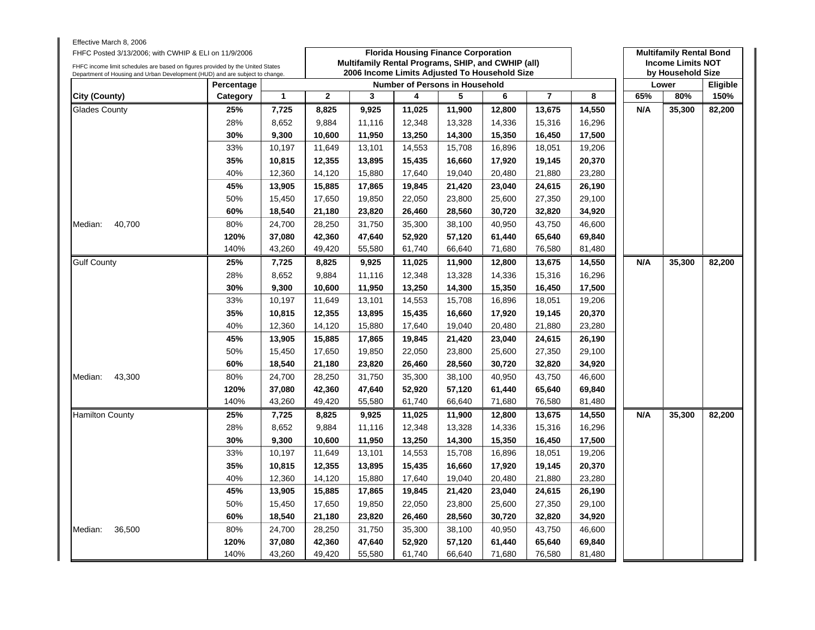| Effective March 8, 2006<br>FHFC Posted 3/13/2006; with CWHIP & ELI on 11/9/2006<br>FHFC income limit schedules are based on figures provided by the United States<br>Department of Housing and Urban Development (HUD) and are subject to change. |              |                  |                  | Multifamily Rental Programs, SHIP, and CWHIP (all)<br>2006 Income Limits Adjusted To Household Size |                  | <b>Florida Housing Finance Corporation</b> |                  |                  |                  |     | <b>Multifamily Rental Bond</b><br><b>Income Limits NOT</b><br>by Household Size |          |
|---------------------------------------------------------------------------------------------------------------------------------------------------------------------------------------------------------------------------------------------------|--------------|------------------|------------------|-----------------------------------------------------------------------------------------------------|------------------|--------------------------------------------|------------------|------------------|------------------|-----|---------------------------------------------------------------------------------|----------|
|                                                                                                                                                                                                                                                   | Percentage   |                  |                  |                                                                                                     |                  | Number of Persons in Household             |                  |                  |                  |     | Lower                                                                           | Eligible |
| City (County)                                                                                                                                                                                                                                     | Category     | 1                | $\overline{2}$   | 3                                                                                                   | 4                | 5                                          | 6                | $\overline{7}$   | 8                | 65% | 80%                                                                             | 150%     |
| <b>Glades County</b>                                                                                                                                                                                                                              | 25%          | 7,725            | 8,825            | 9,925                                                                                               | 11,025           | 11,900                                     | 12,800           | 13,675           | 14,550           | N/A | 35,300                                                                          | 82,200   |
|                                                                                                                                                                                                                                                   | 28%          | 8,652            | 9,884            | 11,116                                                                                              | 12,348           | 13,328                                     | 14,336           | 15,316           | 16,296           |     |                                                                                 |          |
|                                                                                                                                                                                                                                                   | 30%          | 9,300            | 10,600           | 11,950                                                                                              | 13,250           | 14,300                                     | 15,350           | 16,450           | 17,500           |     |                                                                                 |          |
|                                                                                                                                                                                                                                                   | 33%          | 10,197           | 11,649           | 13,101                                                                                              | 14,553           | 15,708                                     | 16,896           | 18,051           | 19,206           |     |                                                                                 |          |
|                                                                                                                                                                                                                                                   | 35%          | 10,815           | 12,355           | 13,895                                                                                              | 15,435           | 16,660                                     | 17,920           | 19,145           | 20,370           |     |                                                                                 |          |
|                                                                                                                                                                                                                                                   | 40%          | 12,360           | 14,120           | 15,880                                                                                              | 17,640           | 19,040                                     | 20,480           | 21,880           | 23,280           |     |                                                                                 |          |
|                                                                                                                                                                                                                                                   | 45%          | 13,905           | 15,885           | 17,865                                                                                              | 19,845           | 21,420                                     | 23,040           | 24,615           | 26,190           |     |                                                                                 |          |
|                                                                                                                                                                                                                                                   | 50%          | 15,450           | 17,650           | 19,850                                                                                              | 22,050           | 23,800                                     | 25,600           | 27,350           | 29,100           |     |                                                                                 |          |
|                                                                                                                                                                                                                                                   | 60%          | 18,540           | 21,180           | 23,820                                                                                              | 26,460           | 28,560                                     | 30,720           | 32,820           | 34,920           |     |                                                                                 |          |
| 40,700<br>Median:                                                                                                                                                                                                                                 | 80%          | 24,700           | 28,250           | 31,750                                                                                              | 35,300           | 38,100                                     | 40,950           | 43,750           | 46,600           |     |                                                                                 |          |
|                                                                                                                                                                                                                                                   | 120%         | 37,080           | 42,360           | 47,640                                                                                              | 52,920           | 57,120                                     | 61,440           | 65,640           | 69,840           |     |                                                                                 |          |
|                                                                                                                                                                                                                                                   | 140%         | 43,260           | 49,420           | 55,580                                                                                              | 61,740           | 66,640                                     | 71,680           | 76,580           | 81,480           |     |                                                                                 |          |
| <b>Gulf County</b>                                                                                                                                                                                                                                | 25%          | 7,725            | 8,825            | 9,925                                                                                               | 11,025           | 11,900                                     | 12,800           | 13,675           | 14,550           | N/A | 35,300                                                                          | 82,200   |
|                                                                                                                                                                                                                                                   | 28%          | 8,652            | 9,884            | 11,116                                                                                              | 12,348           | 13,328                                     | 14,336           | 15,316           | 16,296           |     |                                                                                 |          |
|                                                                                                                                                                                                                                                   | 30%          | 9,300            | 10,600           | 11,950                                                                                              | 13,250           | 14,300                                     | 15,350           | 16,450           | 17,500           |     |                                                                                 |          |
|                                                                                                                                                                                                                                                   | 33%          | 10,197           | 11,649           | 13,101                                                                                              | 14,553           | 15,708                                     | 16,896           | 18,051           | 19,206           |     |                                                                                 |          |
|                                                                                                                                                                                                                                                   | 35%          | 10,815           | 12,355           | 13,895                                                                                              | 15,435           | 16,660                                     | 17,920           | 19,145           | 20,370           |     |                                                                                 |          |
|                                                                                                                                                                                                                                                   | 40%          | 12,360           | 14,120           | 15,880                                                                                              | 17,640           | 19,040                                     | 20,480           | 21,880           | 23,280           |     |                                                                                 |          |
|                                                                                                                                                                                                                                                   | 45%          | 13,905           | 15,885           | 17,865                                                                                              | 19,845           | 21,420                                     | 23,040           | 24,615           | 26,190           |     |                                                                                 |          |
|                                                                                                                                                                                                                                                   | 50%          | 15,450           | 17,650           | 19,850                                                                                              | 22,050           | 23,800                                     | 25,600           | 27,350           | 29,100           |     |                                                                                 |          |
|                                                                                                                                                                                                                                                   | 60%          | 18,540           | 21,180           | 23,820                                                                                              | 26,460           | 28,560                                     | 30,720           | 32,820           | 34,920           |     |                                                                                 |          |
| 43,300<br>Median:                                                                                                                                                                                                                                 | 80%          | 24,700           | 28,250           | 31,750                                                                                              | 35,300           | 38,100                                     | 40,950           | 43,750           | 46,600           |     |                                                                                 |          |
|                                                                                                                                                                                                                                                   | 120%         | 37,080           | 42,360           | 47,640                                                                                              | 52,920           | 57,120                                     | 61,440           | 65,640           | 69,840           |     |                                                                                 |          |
|                                                                                                                                                                                                                                                   | 140%         | 43,260           | 49,420           | 55,580                                                                                              | 61,740           | 66,640                                     | 71,680           | 76,580           | 81,480           |     |                                                                                 |          |
| <b>Hamilton County</b>                                                                                                                                                                                                                            | 25%          | 7,725            | 8,825            | 9,925                                                                                               | 11,025           | 11,900                                     | 12,800           | 13,675           | 14,550           | N/A | 35,300                                                                          | 82,200   |
|                                                                                                                                                                                                                                                   | 28%          | 8,652            | 9,884            | 11,116                                                                                              | 12,348           | 13,328                                     | 14,336           | 15,316           | 16,296           |     |                                                                                 |          |
|                                                                                                                                                                                                                                                   | 30%          | 9.300            | 10,600           | 11,950                                                                                              | 13,250           | 14,300                                     | 15,350           | 16,450           | 17,500           |     |                                                                                 |          |
|                                                                                                                                                                                                                                                   | 33%          | 10,197           | 11,649           | 13,101                                                                                              | 14,553           | 15,708                                     | 16,896           | 18,051           | 19,206           |     |                                                                                 |          |
|                                                                                                                                                                                                                                                   | 35%          | 10,815           | 12,355           | 13,895                                                                                              | 15,435           | 16,660                                     | 17,920           | 19,145           | 20,370           |     |                                                                                 |          |
|                                                                                                                                                                                                                                                   | 40%          | 12,360           | 14,120           | 15,880                                                                                              | 17,640           | 19,040                                     | 20,480           | 21,880           | 23,280           |     |                                                                                 |          |
|                                                                                                                                                                                                                                                   | 45%          | 13,905           | 15,885           | 17,865                                                                                              | 19,845           | 21,420                                     | 23,040           | 24,615           | 26,190           |     |                                                                                 |          |
|                                                                                                                                                                                                                                                   | 50%          | 15,450           | 17,650           | 19,850                                                                                              | 22,050           | 23,800                                     | 25,600           | 27,350           | 29,100           |     |                                                                                 |          |
|                                                                                                                                                                                                                                                   | 60%          | 18,540           |                  | 23,820                                                                                              | 26,460           | 28,560                                     | 30,720           | 32,820           | 34,920           |     |                                                                                 |          |
| 36,500<br>Median:                                                                                                                                                                                                                                 | 80%          | 24,700           | 21,180           |                                                                                                     | 35,300           | 38,100                                     | 40,950           | 43,750           | 46,600           |     |                                                                                 |          |
|                                                                                                                                                                                                                                                   |              |                  | 28,250           | 31,750                                                                                              |                  |                                            |                  |                  |                  |     |                                                                                 |          |
|                                                                                                                                                                                                                                                   | 120%<br>140% | 37,080<br>43,260 | 42,360<br>49,420 | 47,640<br>55,580                                                                                    | 52,920<br>61,740 | 57,120<br>66,640                           | 61,440<br>71,680 | 65,640<br>76,580 | 69,840<br>81,480 |     |                                                                                 |          |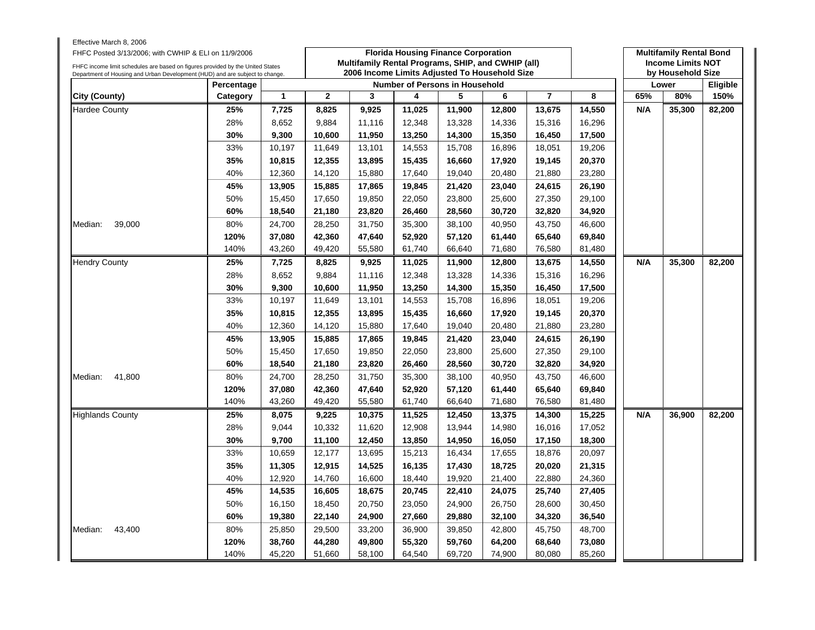| Effective March 8, 2006<br>FHFC Posted 3/13/2006; with CWHIP & ELI on 11/9/2006<br>FHFC income limit schedules are based on figures provided by the United States<br>Department of Housing and Urban Development (HUD) and are subject to change. |            |                                                | <b>Florida Housing Finance Corporation</b><br>Multifamily Rental Programs, SHIP, and CWHIP (all)<br>2006 Income Limits Adjusted To Household Size |        |        |        |        |                |        |     | <b>Multifamily Rental Bond</b><br><b>Income Limits NOT</b><br>by Household Size |          |  |
|---------------------------------------------------------------------------------------------------------------------------------------------------------------------------------------------------------------------------------------------------|------------|------------------------------------------------|---------------------------------------------------------------------------------------------------------------------------------------------------|--------|--------|--------|--------|----------------|--------|-----|---------------------------------------------------------------------------------|----------|--|
|                                                                                                                                                                                                                                                   | Percentage | Number of Persons in Household                 |                                                                                                                                                   |        |        |        |        |                |        |     | Lower                                                                           | Eligible |  |
| City (County)                                                                                                                                                                                                                                     | Category   | $\mathbf{1}$                                   | $\overline{2}$                                                                                                                                    | 3      | 4      | 5      | 6      | $\overline{7}$ | 8      | 65% | 80%                                                                             | 150%     |  |
| <b>Hardee County</b>                                                                                                                                                                                                                              | 25%        | 7,725                                          | 8,825                                                                                                                                             | 9,925  | 11,025 | 11,900 | 12,800 | 13,675         | 14,550 | N/A | 35,300                                                                          | 82,200   |  |
|                                                                                                                                                                                                                                                   | 28%        | 8,652                                          | 9,884                                                                                                                                             | 11,116 | 12,348 | 13,328 | 14,336 | 15,316         | 16,296 |     |                                                                                 |          |  |
|                                                                                                                                                                                                                                                   | 30%        | 9,300                                          | 10,600                                                                                                                                            | 11,950 | 13,250 | 14,300 | 15,350 | 16,450         | 17,500 |     |                                                                                 |          |  |
|                                                                                                                                                                                                                                                   | 33%        | 10,197                                         | 11,649                                                                                                                                            | 13,101 | 14,553 | 15,708 | 16,896 | 18,051         | 19,206 |     |                                                                                 |          |  |
|                                                                                                                                                                                                                                                   | 35%        | 10,815                                         | 12,355                                                                                                                                            | 13,895 | 15,435 | 16,660 | 17,920 | 19,145         | 20,370 |     |                                                                                 |          |  |
|                                                                                                                                                                                                                                                   | 40%        | 12,360                                         | 14,120                                                                                                                                            | 15,880 | 17,640 | 19,040 | 20,480 | 21,880         | 23,280 |     |                                                                                 |          |  |
|                                                                                                                                                                                                                                                   | 45%        | 13,905<br>15,885<br>17,865<br>19,845<br>21,420 | 23,040                                                                                                                                            | 24,615 | 26,190 |        |        |                |        |     |                                                                                 |          |  |
|                                                                                                                                                                                                                                                   | 50%        | 15,450                                         | 17,650                                                                                                                                            | 19,850 | 22,050 | 23,800 | 25,600 | 27,350         | 29,100 |     |                                                                                 |          |  |
|                                                                                                                                                                                                                                                   | 60%        | 18,540                                         | 21,180                                                                                                                                            | 23,820 | 26,460 | 28,560 | 30,720 | 32,820         | 34,920 |     |                                                                                 |          |  |
| Median:<br>39,000                                                                                                                                                                                                                                 | 80%        | 24,700                                         | 28,250                                                                                                                                            | 31,750 | 35,300 | 38,100 | 40,950 | 43,750         | 46,600 |     |                                                                                 |          |  |
|                                                                                                                                                                                                                                                   | 120%       | 37,080                                         | 42,360                                                                                                                                            | 47,640 | 52,920 | 57,120 | 61,440 | 65,640         | 69,840 |     |                                                                                 |          |  |
|                                                                                                                                                                                                                                                   | 140%       | 43,260                                         | 49,420                                                                                                                                            | 55,580 | 61,740 | 66,640 | 71,680 | 76,580         | 81,480 |     |                                                                                 |          |  |
| <b>Hendry County</b>                                                                                                                                                                                                                              | 25%        | 7,725                                          | 8,825                                                                                                                                             | 9,925  | 11,025 | 11,900 | 12,800 | 13,675         | 14,550 | N/A | 35,300                                                                          | 82,200   |  |
|                                                                                                                                                                                                                                                   | 28%        | 8,652                                          | 9,884                                                                                                                                             | 11,116 | 12,348 | 13,328 | 14,336 | 15,316         | 16,296 |     |                                                                                 |          |  |
|                                                                                                                                                                                                                                                   | 30%        | 9,300                                          | 10,600                                                                                                                                            | 11,950 | 13,250 | 14,300 | 15,350 | 16,450         | 17,500 |     |                                                                                 |          |  |
|                                                                                                                                                                                                                                                   | 33%        | 10,197                                         | 11,649                                                                                                                                            | 13,101 | 14,553 | 15,708 | 16,896 | 18,051         | 19,206 |     |                                                                                 |          |  |
|                                                                                                                                                                                                                                                   | 35%        | 10,815                                         | 12,355                                                                                                                                            | 13,895 | 15,435 | 16,660 | 17,920 | 19,145         | 20,370 |     |                                                                                 |          |  |
|                                                                                                                                                                                                                                                   | 40%        | 12,360                                         | 14,120                                                                                                                                            | 15,880 | 17,640 | 19,040 | 20,480 | 21,880         | 23,280 |     |                                                                                 |          |  |
|                                                                                                                                                                                                                                                   | 45%        | 13,905                                         | 15,885                                                                                                                                            | 17,865 | 19,845 | 21,420 | 23,040 | 24,615         | 26,190 |     |                                                                                 |          |  |
|                                                                                                                                                                                                                                                   | 50%        | 15,450                                         | 17,650                                                                                                                                            | 19,850 | 22,050 | 23,800 | 25,600 | 27,350         | 29,100 |     |                                                                                 |          |  |
|                                                                                                                                                                                                                                                   | 60%        | 18,540                                         | 21,180                                                                                                                                            | 23,820 | 26,460 | 28,560 | 30,720 | 32,820         | 34,920 |     |                                                                                 |          |  |
| 41,800<br>Median:                                                                                                                                                                                                                                 | 80%        | 24,700                                         | 28,250                                                                                                                                            | 31,750 | 35,300 | 38,100 | 40,950 | 43,750         | 46,600 |     |                                                                                 |          |  |
|                                                                                                                                                                                                                                                   | 120%       | 37,080                                         | 42,360                                                                                                                                            | 47,640 | 52,920 | 57,120 | 61,440 | 65,640         | 69,840 |     |                                                                                 |          |  |
|                                                                                                                                                                                                                                                   | 140%       | 43,260                                         | 49,420                                                                                                                                            | 55,580 | 61,740 | 66,640 | 71,680 | 76,580         | 81,480 |     |                                                                                 |          |  |
| <b>Highlands County</b>                                                                                                                                                                                                                           | 25%        | 8,075                                          | 9,225                                                                                                                                             | 10,375 | 11,525 | 12,450 | 13,375 | 14,300         | 15,225 | N/A | 36,900                                                                          | 82,200   |  |
|                                                                                                                                                                                                                                                   | 28%        | 9,044                                          | 10,332                                                                                                                                            | 11,620 | 12,908 | 13,944 | 14,980 | 16,016         | 17,052 |     |                                                                                 |          |  |
|                                                                                                                                                                                                                                                   | 30%        | 9.700                                          | 11,100                                                                                                                                            | 12,450 | 13,850 | 14,950 | 16,050 | 17,150         | 18,300 |     |                                                                                 |          |  |
|                                                                                                                                                                                                                                                   | 33%        | 10,659                                         | 12,177                                                                                                                                            | 13,695 | 15,213 | 16,434 | 17,655 | 18,876         | 20,097 |     |                                                                                 |          |  |
|                                                                                                                                                                                                                                                   | 35%        | 11,305                                         | 12,915                                                                                                                                            | 14,525 | 16,135 | 17,430 | 18,725 | 20,020         | 21,315 |     |                                                                                 |          |  |
|                                                                                                                                                                                                                                                   | 40%        | 12,920                                         | 14,760                                                                                                                                            | 16,600 | 18,440 | 19,920 | 21,400 | 22,880         | 24,360 |     |                                                                                 |          |  |
|                                                                                                                                                                                                                                                   | 45%        | 14,535                                         | 16,605                                                                                                                                            | 18,675 | 20,745 | 22,410 | 24,075 | 25,740         | 27,405 |     |                                                                                 |          |  |
|                                                                                                                                                                                                                                                   | 50%        | 16,150                                         | 18,450                                                                                                                                            | 20,750 | 23,050 | 24,900 | 26,750 | 28,600         | 30,450 |     |                                                                                 |          |  |
|                                                                                                                                                                                                                                                   | 60%        | 19,380                                         | 22,140                                                                                                                                            | 24,900 | 27,660 | 29,880 | 32,100 | 34,320         | 36,540 |     |                                                                                 |          |  |
| Median:<br>43,400                                                                                                                                                                                                                                 | 80%        | 25,850                                         | 29,500                                                                                                                                            | 33,200 | 36,900 | 39,850 | 42,800 | 45,750         | 48,700 |     |                                                                                 |          |  |
|                                                                                                                                                                                                                                                   | 120%       | 38,760                                         | 44,280                                                                                                                                            | 49,800 | 55,320 | 59,760 | 64,200 | 68,640         | 73,080 |     |                                                                                 |          |  |
|                                                                                                                                                                                                                                                   | 140%       | 45,220                                         | 51,660                                                                                                                                            | 58,100 | 64,540 | 69,720 | 74,900 | 80,080         | 85,260 |     |                                                                                 |          |  |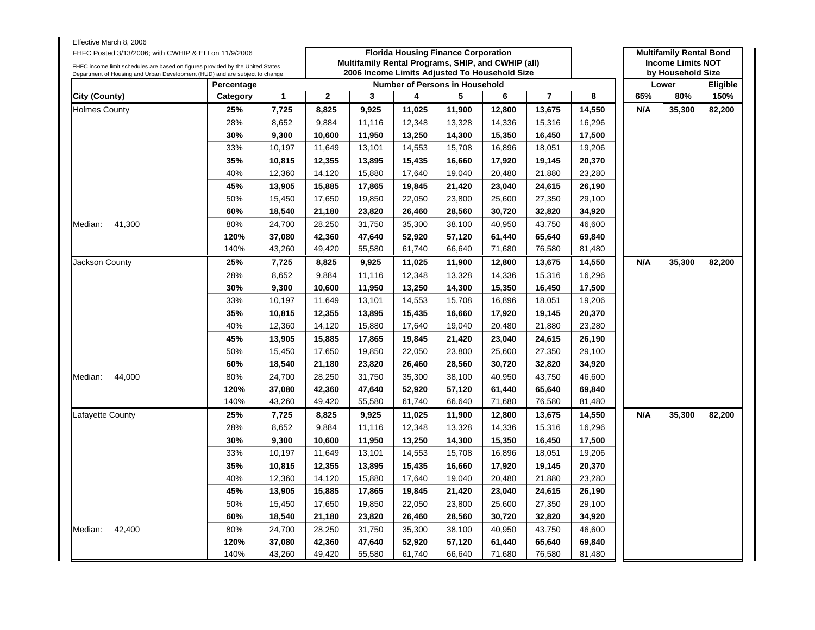| Effective March 8, 2006<br>FHFC Posted 3/13/2006; with CWHIP & ELI on 11/9/2006<br>FHFC income limit schedules are based on figures provided by the United States |                                                                                        |              |                | <b>Florida Housing Finance Corporation</b><br>Multifamily Rental Programs, SHIP, and CWHIP (all) |        | <b>Multifamily Rental Bond</b><br><b>Income Limits NOT</b><br>by Household Size |        |                |        |     |        |                  |
|-------------------------------------------------------------------------------------------------------------------------------------------------------------------|----------------------------------------------------------------------------------------|--------------|----------------|--------------------------------------------------------------------------------------------------|--------|---------------------------------------------------------------------------------|--------|----------------|--------|-----|--------|------------------|
| Department of Housing and Urban Development (HUD) and are subject to change.                                                                                      | 2006 Income Limits Adjusted To Household Size<br><b>Number of Persons in Household</b> |              |                |                                                                                                  |        |                                                                                 |        |                | Lower  |     |        |                  |
| City (County)                                                                                                                                                     | Percentage<br>Category                                                                 | $\mathbf{1}$ | $\overline{2}$ | 3                                                                                                | 4      | 5                                                                               | 6      | $\overline{7}$ | 8      | 65% | 80%    | Eligible<br>150% |
| <b>Holmes County</b>                                                                                                                                              | 25%                                                                                    | 7,725        | 8,825          | 9,925                                                                                            | 11,025 | 11,900                                                                          | 12,800 | 13,675         | 14,550 | N/A | 35,300 | 82,200           |
|                                                                                                                                                                   | 28%                                                                                    | 8,652        | 9,884          | 11,116                                                                                           | 12,348 | 13,328                                                                          | 14,336 | 15,316         | 16,296 |     |        |                  |
|                                                                                                                                                                   | 30%                                                                                    | 9,300        | 10,600         | 11,950                                                                                           | 13,250 | 14,300                                                                          | 15,350 | 16,450         | 17,500 |     |        |                  |
|                                                                                                                                                                   | 33%                                                                                    | 10,197       | 11,649         | 13,101                                                                                           | 14,553 | 15,708                                                                          | 16,896 | 18,051         | 19,206 |     |        |                  |
|                                                                                                                                                                   | 35%                                                                                    | 10,815       | 12,355         | 13,895                                                                                           | 15,435 | 16,660                                                                          | 17,920 | 19,145         | 20,370 |     |        |                  |
|                                                                                                                                                                   | 40%                                                                                    | 12,360       | 14,120         | 15,880                                                                                           | 17,640 | 19,040                                                                          | 20,480 | 21,880         | 23,280 |     |        |                  |
|                                                                                                                                                                   | 45%                                                                                    | 13,905       | 15,885         | 17,865                                                                                           | 19,845 | 21,420                                                                          | 23,040 | 24,615         | 26,190 |     |        |                  |
|                                                                                                                                                                   | 50%                                                                                    | 15,450       | 17,650         | 19,850                                                                                           | 22,050 | 23,800                                                                          | 25,600 | 27,350         | 29,100 |     |        |                  |
|                                                                                                                                                                   | 60%                                                                                    | 18,540       | 21,180         | 23,820                                                                                           | 26,460 | 28,560                                                                          | 30,720 | 32,820         | 34,920 |     |        |                  |
| Median:<br>41,300                                                                                                                                                 | 80%                                                                                    | 24,700       | 28,250         | 31,750                                                                                           | 35,300 | 38,100                                                                          | 40,950 | 43,750         | 46,600 |     |        |                  |
|                                                                                                                                                                   | 120%                                                                                   | 37,080       | 42,360         | 47,640                                                                                           | 52,920 | 57,120                                                                          | 61,440 | 65,640         | 69,840 |     |        |                  |
|                                                                                                                                                                   | 140%                                                                                   | 43,260       | 49,420         | 55,580                                                                                           | 61,740 | 66,640                                                                          | 71,680 | 76,580         | 81,480 |     |        |                  |
| Jackson County                                                                                                                                                    | 25%                                                                                    | 7,725        | 8,825          | 9,925                                                                                            | 11,025 | 11,900                                                                          | 12,800 | 13,675         | 14,550 | N/A | 35,300 | 82,200           |
|                                                                                                                                                                   | 28%                                                                                    | 8,652        | 9,884          | 11,116                                                                                           | 12,348 | 13,328                                                                          | 14,336 | 15,316         | 16,296 |     |        |                  |
|                                                                                                                                                                   | 30%                                                                                    | 9,300        | 10,600         | 11,950                                                                                           | 13,250 | 14,300                                                                          | 15,350 | 16,450         | 17,500 |     |        |                  |
|                                                                                                                                                                   | 33%                                                                                    | 10,197       | 11,649         | 13,101                                                                                           | 14,553 | 15,708                                                                          | 16,896 | 18,051         | 19,206 |     |        |                  |
|                                                                                                                                                                   | 35%                                                                                    | 10,815       | 12,355         | 13,895                                                                                           | 15,435 | 16,660                                                                          | 17,920 | 19,145         | 20,370 |     |        |                  |
|                                                                                                                                                                   | 40%                                                                                    | 12,360       | 14,120         | 15,880                                                                                           | 17,640 | 19,040                                                                          | 20,480 | 21,880         | 23,280 |     |        |                  |
|                                                                                                                                                                   | 45%                                                                                    | 13,905       | 15,885         | 17,865                                                                                           | 19,845 | 21,420                                                                          | 23,040 | 24,615         | 26,190 |     |        |                  |
|                                                                                                                                                                   | 50%                                                                                    | 15,450       | 17,650         | 19,850                                                                                           | 22,050 | 23,800                                                                          | 25,600 | 27,350         | 29,100 |     |        |                  |
|                                                                                                                                                                   | 60%                                                                                    | 18,540       | 21,180         | 23,820                                                                                           | 26,460 | 28,560                                                                          | 30,720 | 32,820         | 34,920 |     |        |                  |
| 44,000<br>Median:                                                                                                                                                 | 80%                                                                                    | 24,700       | 28,250         | 31,750                                                                                           | 35,300 | 38,100                                                                          | 40,950 | 43,750         | 46,600 |     |        |                  |
|                                                                                                                                                                   | 120%                                                                                   | 37,080       | 42,360         | 47,640                                                                                           | 52,920 | 57,120                                                                          | 61,440 | 65,640         | 69,840 |     |        |                  |
|                                                                                                                                                                   | 140%                                                                                   | 43,260       | 49,420         | 55,580                                                                                           | 61,740 | 66,640                                                                          | 71,680 | 76,580         | 81,480 |     |        |                  |
| _afayette County                                                                                                                                                  | 25%                                                                                    | 7,725        | 8,825          | 9,925                                                                                            | 11,025 | 11,900                                                                          | 12,800 | 13,675         | 14,550 | N/A | 35,300 | 82,200           |
|                                                                                                                                                                   | 28%                                                                                    | 8,652        | 9,884          | 11,116                                                                                           | 12,348 | 13,328                                                                          | 14,336 | 15,316         | 16,296 |     |        |                  |
|                                                                                                                                                                   | 30%                                                                                    | 9,300        | 10,600         | 11,950                                                                                           | 13,250 | 14,300                                                                          | 15,350 | 16,450         | 17,500 |     |        |                  |
|                                                                                                                                                                   | 33%                                                                                    | 10,197       | 11,649         | 13,101                                                                                           | 14,553 | 15,708                                                                          | 16,896 | 18,051         | 19,206 |     |        |                  |
|                                                                                                                                                                   | 35%                                                                                    | 10,815       | 12,355         | 13,895                                                                                           | 15,435 | 16,660                                                                          | 17,920 | 19,145         | 20,370 |     |        |                  |
|                                                                                                                                                                   | 40%                                                                                    | 12,360       | 14,120         | 15,880                                                                                           | 17,640 | 19,040                                                                          | 20,480 | 21,880         | 23,280 |     |        |                  |
|                                                                                                                                                                   | 45%                                                                                    | 13,905       | 15,885         | 17,865                                                                                           | 19,845 | 21,420                                                                          | 23,040 | 24,615         | 26,190 |     |        |                  |
|                                                                                                                                                                   | 50%                                                                                    | 15,450       | 17,650         | 19,850                                                                                           | 22,050 | 23,800                                                                          | 25,600 | 27,350         | 29,100 |     |        |                  |
|                                                                                                                                                                   | 60%                                                                                    | 18,540       | 21,180         | 23,820                                                                                           | 26,460 | 28,560                                                                          | 30,720 | 32,820         | 34,920 |     |        |                  |
| Median:<br>42,400                                                                                                                                                 | 80%                                                                                    | 24,700       | 28,250         | 31,750                                                                                           | 35,300 | 38,100                                                                          | 40,950 | 43,750         | 46,600 |     |        |                  |
|                                                                                                                                                                   | 120%                                                                                   | 37,080       | 42,360         | 47,640                                                                                           | 52,920 | 57,120                                                                          | 61,440 | 65,640         | 69,840 |     |        |                  |
|                                                                                                                                                                   | 43,260<br>140%                                                                         |              | 49,420         | 55,580                                                                                           | 61,740 | 66,640                                                                          | 71,680 | 76,580         | 81,480 |     |        |                  |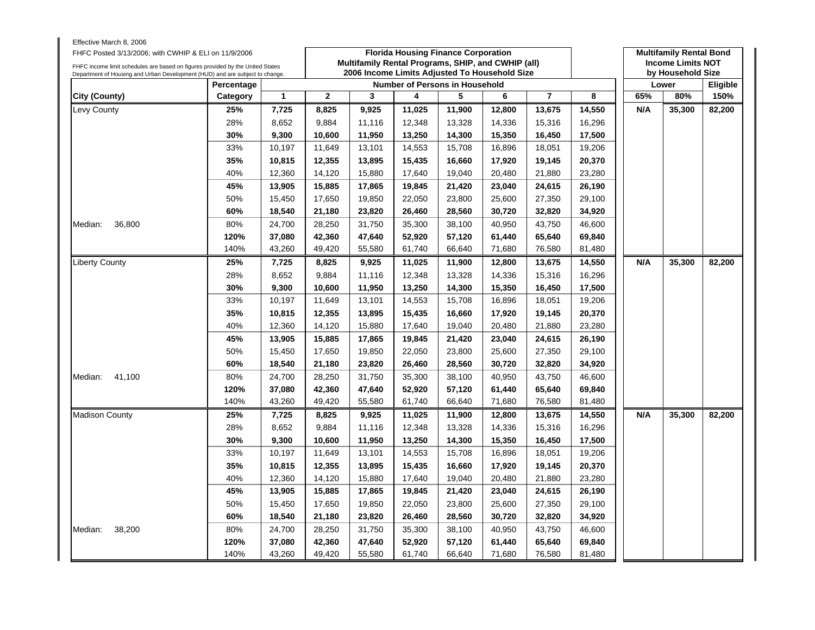| Effective March 8, 2006<br>FHFC Posted 3/13/2006; with CWHIP & ELI on 11/9/2006<br>FHFC income limit schedules are based on figures provided by the United States<br>Department of Housing and Urban Development (HUD) and are subject to change. |               |                                       | <b>Florida Housing Finance Corporation</b><br>Multifamily Rental Programs, SHIP, and CWHIP (all)<br>2006 Income Limits Adjusted To Household Size |        |        |        |        |                |        |     | <b>Multifamily Rental Bond</b><br><b>Income Limits NOT</b><br>by Household Size |          |  |
|---------------------------------------------------------------------------------------------------------------------------------------------------------------------------------------------------------------------------------------------------|---------------|---------------------------------------|---------------------------------------------------------------------------------------------------------------------------------------------------|--------|--------|--------|--------|----------------|--------|-----|---------------------------------------------------------------------------------|----------|--|
|                                                                                                                                                                                                                                                   | Percentage    | <b>Number of Persons in Household</b> |                                                                                                                                                   |        |        |        |        |                |        |     | Lower                                                                           | Eligible |  |
| City (County)                                                                                                                                                                                                                                     | Category      | $\mathbf{1}$                          | $\overline{2}$                                                                                                                                    | 3      | 4      | 5      | 6      | $\overline{7}$ | 8      | 65% | 80%                                                                             | 150%     |  |
| Levy County                                                                                                                                                                                                                                       | 25%           | 7,725                                 | 8,825                                                                                                                                             | 9,925  | 11,025 | 11,900 | 12,800 | 13,675         | 14,550 | N/A | 35,300                                                                          | 82,200   |  |
|                                                                                                                                                                                                                                                   | 28%           | 8,652                                 | 9,884                                                                                                                                             | 11,116 | 12,348 | 13,328 | 14,336 | 15,316         | 16,296 |     |                                                                                 |          |  |
|                                                                                                                                                                                                                                                   | 30%           | 9,300                                 | 10,600                                                                                                                                            | 11,950 | 13,250 | 14,300 | 15,350 | 16,450         | 17,500 |     |                                                                                 |          |  |
|                                                                                                                                                                                                                                                   | 33%           | 10,197                                | 11,649                                                                                                                                            | 13,101 | 14,553 | 15,708 | 16,896 | 18,051         | 19,206 |     |                                                                                 |          |  |
|                                                                                                                                                                                                                                                   | 35%           | 10,815                                | 12,355                                                                                                                                            | 13,895 | 15,435 | 16,660 | 17,920 | 19,145         | 20,370 |     |                                                                                 |          |  |
|                                                                                                                                                                                                                                                   | 40%           | 12,360                                | 14,120                                                                                                                                            | 15,880 | 17,640 | 19,040 | 20,480 | 21,880         | 23,280 |     |                                                                                 |          |  |
|                                                                                                                                                                                                                                                   | 45%           | 13,905                                | 15,885                                                                                                                                            | 17,865 | 19,845 | 21,420 | 23,040 | 24,615         | 26,190 |     |                                                                                 |          |  |
|                                                                                                                                                                                                                                                   | 50%           | 15,450                                | 17,650                                                                                                                                            | 19,850 | 22,050 | 23,800 | 25,600 | 27,350         | 29,100 |     |                                                                                 |          |  |
|                                                                                                                                                                                                                                                   | 60%           | 18,540                                | 21,180                                                                                                                                            | 23,820 | 26,460 | 28,560 | 30,720 | 32,820         | 34,920 |     |                                                                                 |          |  |
| Median:<br>36,800                                                                                                                                                                                                                                 | 80%<br>24,700 |                                       | 28,250                                                                                                                                            | 31,750 | 35,300 | 38,100 | 40,950 | 43,750         | 46,600 |     |                                                                                 |          |  |
|                                                                                                                                                                                                                                                   | 120%          | 37,080                                | 42,360                                                                                                                                            | 47,640 | 52,920 | 57,120 | 61,440 | 65,640         | 69,840 |     |                                                                                 |          |  |
|                                                                                                                                                                                                                                                   | 140%          | 43,260                                | 49,420                                                                                                                                            | 55,580 | 61,740 | 66,640 | 71,680 | 76,580         | 81,480 |     |                                                                                 |          |  |
| Liberty County                                                                                                                                                                                                                                    | 25%           | 7,725                                 | 8,825                                                                                                                                             | 9,925  | 11,025 | 11,900 | 12,800 | 13,675         | 14,550 | N/A | 35,300                                                                          | 82,200   |  |
|                                                                                                                                                                                                                                                   | 28%           | 8,652                                 | 9,884                                                                                                                                             | 11,116 | 12,348 | 13,328 | 14,336 | 15,316         | 16,296 |     |                                                                                 |          |  |
|                                                                                                                                                                                                                                                   | 30%           | 9,300                                 | 10,600                                                                                                                                            | 11,950 | 13,250 | 14,300 | 15,350 | 16,450         | 17,500 |     |                                                                                 |          |  |
|                                                                                                                                                                                                                                                   | 33%           | 10,197                                | 11,649                                                                                                                                            | 13,101 | 14,553 | 15,708 | 16,896 | 18,051         | 19,206 |     |                                                                                 |          |  |
|                                                                                                                                                                                                                                                   | 35%           | 10,815                                | 12,355                                                                                                                                            | 13,895 | 15,435 | 16,660 | 17,920 | 19,145         | 20,370 |     |                                                                                 |          |  |
|                                                                                                                                                                                                                                                   | 40%           | 12,360                                | 14,120                                                                                                                                            | 15,880 | 17,640 | 19,040 | 20,480 | 21,880         | 23,280 |     |                                                                                 |          |  |
|                                                                                                                                                                                                                                                   | 45%           | 13,905                                | 15,885                                                                                                                                            | 17,865 | 19,845 | 21,420 | 23,040 | 24,615         | 26,190 |     |                                                                                 |          |  |
|                                                                                                                                                                                                                                                   | 50%           | 15,450                                | 17,650                                                                                                                                            | 19,850 | 22,050 | 23,800 | 25,600 | 27,350         | 29,100 |     |                                                                                 |          |  |
|                                                                                                                                                                                                                                                   | 60%           | 18,540                                | 21,180                                                                                                                                            | 23,820 | 26,460 | 28,560 | 30,720 | 32,820         | 34,920 |     |                                                                                 |          |  |
| 41,100<br>Median:                                                                                                                                                                                                                                 | 80%           | 24,700                                | 28,250                                                                                                                                            | 31,750 | 35,300 | 38,100 | 40,950 | 43,750         | 46,600 |     |                                                                                 |          |  |
|                                                                                                                                                                                                                                                   | 120%          | 37,080                                | 42,360                                                                                                                                            | 47,640 | 52,920 | 57,120 | 61,440 | 65,640         | 69,840 |     |                                                                                 |          |  |
|                                                                                                                                                                                                                                                   | 140%          | 43,260                                | 49,420                                                                                                                                            | 55,580 | 61,740 | 66,640 | 71,680 | 76,580         | 81,480 |     |                                                                                 |          |  |
| <b>Madison County</b>                                                                                                                                                                                                                             | 25%           | 7,725                                 | 8,825                                                                                                                                             | 9,925  | 11,025 | 11,900 | 12,800 | 13,675         | 14,550 | N/A | 35,300                                                                          | 82,200   |  |
|                                                                                                                                                                                                                                                   | 28%           | 8,652                                 | 9,884                                                                                                                                             | 11,116 | 12,348 | 13,328 | 14,336 | 15,316         | 16,296 |     |                                                                                 |          |  |
|                                                                                                                                                                                                                                                   | 30%           | 9,300                                 | 10,600                                                                                                                                            | 11,950 | 13,250 | 14,300 | 15,350 | 16,450         | 17,500 |     |                                                                                 |          |  |
|                                                                                                                                                                                                                                                   | 33%           | 10,197                                | 11,649                                                                                                                                            | 13,101 | 14,553 | 15,708 | 16,896 | 18,051         | 19,206 |     |                                                                                 |          |  |
|                                                                                                                                                                                                                                                   | 35%           | 10,815                                | 12,355                                                                                                                                            | 13,895 | 15,435 | 16,660 | 17,920 | 19,145         | 20,370 |     |                                                                                 |          |  |
|                                                                                                                                                                                                                                                   | 40%           | 12,360                                | 14,120                                                                                                                                            | 15,880 | 17,640 | 19,040 | 20,480 | 21,880         | 23,280 |     |                                                                                 |          |  |
|                                                                                                                                                                                                                                                   | 45%           | 13,905                                | 15,885                                                                                                                                            | 17,865 | 19,845 | 21,420 | 23,040 | 24,615         | 26,190 |     |                                                                                 |          |  |
|                                                                                                                                                                                                                                                   | 50%           | 15,450                                | 17,650                                                                                                                                            | 19,850 | 22,050 | 23,800 | 25,600 | 27,350         | 29,100 |     |                                                                                 |          |  |
|                                                                                                                                                                                                                                                   | 60%           | 18,540                                | 21,180                                                                                                                                            | 23,820 | 26,460 | 28,560 | 30,720 | 32,820         | 34,920 |     |                                                                                 |          |  |
| 38,200<br>Median:                                                                                                                                                                                                                                 | 80%           | 24,700                                | 28,250                                                                                                                                            | 31,750 | 35,300 | 38,100 | 40,950 | 43,750         | 46,600 |     |                                                                                 |          |  |
|                                                                                                                                                                                                                                                   | 120%          | 37,080                                | 42,360                                                                                                                                            | 47,640 | 52,920 | 57,120 | 61,440 | 65,640         | 69,840 |     |                                                                                 |          |  |
|                                                                                                                                                                                                                                                   | 140%          | 43,260                                | 49,420                                                                                                                                            | 55,580 | 61,740 | 66,640 | 71,680 | 76,580         | 81,480 |     |                                                                                 |          |  |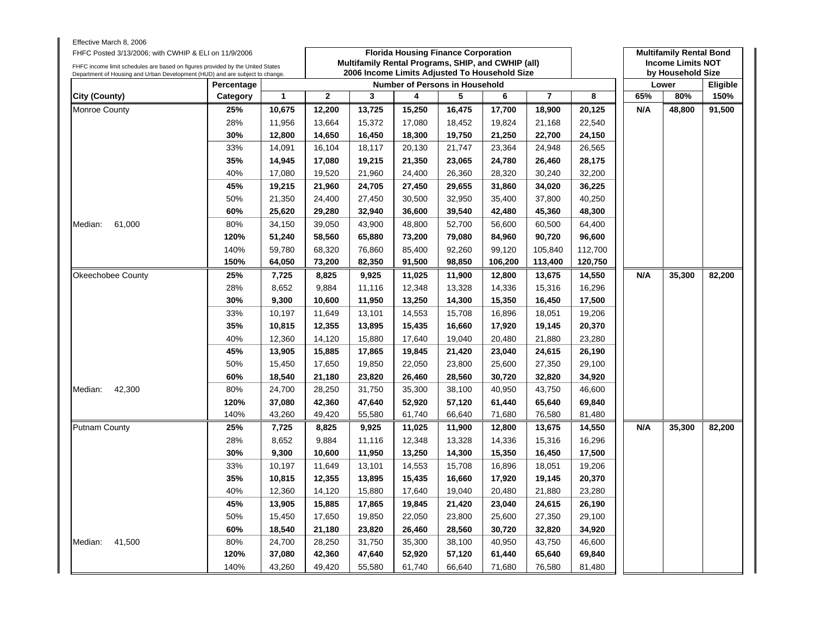| Effective March 8, 2006<br>FHFC Posted 3/13/2006; with CWHIP & ELI on 11/9/2006                                                                                |            |        |                | <b>Florida Housing Finance Corporation</b><br>Multifamily Rental Programs, SHIP, and CWHIP (all) |                                       |        |                   |                |         |     |        | <b>Multifamily Rental Bond</b><br><b>Income Limits NOT</b> |  |  |  |
|----------------------------------------------------------------------------------------------------------------------------------------------------------------|------------|--------|----------------|--------------------------------------------------------------------------------------------------|---------------------------------------|--------|-------------------|----------------|---------|-----|--------|------------------------------------------------------------|--|--|--|
| FHFC income limit schedules are based on figures provided by the United States<br>Department of Housing and Urban Development (HUD) and are subject to change. |            |        |                | 2006 Income Limits Adjusted To Household Size                                                    |                                       |        | by Household Size |                |         |     |        |                                                            |  |  |  |
|                                                                                                                                                                | Percentage |        |                |                                                                                                  | <b>Number of Persons in Household</b> |        |                   |                |         |     |        |                                                            |  |  |  |
| City (County)                                                                                                                                                  | Category   | 1      | $\overline{2}$ | 3                                                                                                | 4                                     | 5      | 6                 | $\overline{7}$ | 8       | 65% | 80%    | 150%                                                       |  |  |  |
| Monroe County                                                                                                                                                  | 25%        | 10,675 | 12,200         | 13,725                                                                                           | 15,250                                | 16,475 | 17,700            | 18,900         | 20,125  | N/A | 48,800 | 91,500                                                     |  |  |  |
|                                                                                                                                                                | 28%        | 11,956 | 13,664         | 15,372                                                                                           | 17,080                                | 18,452 | 19,824            | 21,168         | 22,540  |     |        |                                                            |  |  |  |
|                                                                                                                                                                | 30%        | 12,800 | 14,650         | 16,450                                                                                           | 18,300                                | 19,750 | 21,250            | 22,700         | 24,150  |     |        |                                                            |  |  |  |
|                                                                                                                                                                | 33%        | 14,091 | 16,104         | 18,117                                                                                           | 20,130                                | 21,747 | 23,364            | 24,948         | 26,565  |     |        |                                                            |  |  |  |
|                                                                                                                                                                | 35%        | 14,945 | 17,080         | 19,215                                                                                           | 21,350                                | 23,065 | 24,780            | 26,460         | 28,175  |     |        |                                                            |  |  |  |
|                                                                                                                                                                | 40%        | 17,080 | 19,520         | 21,960                                                                                           | 24,400                                | 26,360 | 28,320            | 30,240         | 32,200  |     |        |                                                            |  |  |  |
|                                                                                                                                                                | 45%        | 19,215 | 21,960         | 24,705                                                                                           | 27,450                                | 29,655 | 31,860            | 34,020         | 36,225  |     |        |                                                            |  |  |  |
|                                                                                                                                                                | 50%        | 21,350 | 24,400         | 27,450                                                                                           | 30,500                                | 32,950 | 35,400            | 37,800         | 40,250  |     |        |                                                            |  |  |  |
|                                                                                                                                                                | 60%        | 25,620 | 29,280         | 32,940                                                                                           | 36,600                                | 39,540 | 42,480            | 45,360         | 48,300  |     |        |                                                            |  |  |  |
| 61,000<br>Median:                                                                                                                                              | 80%        | 34,150 | 39,050         | 43,900                                                                                           | 48,800                                | 52,700 | 56,600            | 60,500         | 64,400  |     |        |                                                            |  |  |  |
|                                                                                                                                                                | 120%       | 51,240 | 58,560         | 65,880                                                                                           | 73,200                                | 79,080 | 84,960            | 90,720         | 96,600  |     |        |                                                            |  |  |  |
|                                                                                                                                                                | 140%       | 59,780 | 68,320         | 76,860                                                                                           | 85,400                                | 92,260 | 99,120            | 105,840        | 112,700 |     |        |                                                            |  |  |  |
|                                                                                                                                                                | 150%       | 64,050 | 73,200         | 82,350                                                                                           | 91,500                                | 98,850 | 106,200           | 113,400        | 120,750 |     |        |                                                            |  |  |  |
| Okeechobee County                                                                                                                                              | 25%        | 7,725  | 8,825          | 9,925                                                                                            | 11,025                                | 11,900 | 12,800            | 13,675         | 14,550  | N/A | 35,300 | 82,200                                                     |  |  |  |
|                                                                                                                                                                | 28%        | 8,652  | 9,884          | 11,116                                                                                           | 12,348                                | 13,328 | 14,336            | 15,316         | 16,296  |     |        |                                                            |  |  |  |
|                                                                                                                                                                | 30%        | 9,300  | 10,600         | 11,950                                                                                           | 13,250                                | 14,300 | 15,350            | 16,450         | 17,500  |     |        |                                                            |  |  |  |
|                                                                                                                                                                | 33%        | 10,197 | 11,649         | 13,101                                                                                           | 14,553                                | 15,708 | 16,896            | 18,051         | 19,206  |     |        |                                                            |  |  |  |
|                                                                                                                                                                | 35%        | 10,815 | 12,355         | 13,895                                                                                           | 15,435                                | 16,660 | 17,920            | 19,145         | 20,370  |     |        |                                                            |  |  |  |
|                                                                                                                                                                | 40%        | 12,360 | 14,120         | 15,880                                                                                           | 17,640                                | 19,040 | 20,480            | 21,880         | 23,280  |     |        |                                                            |  |  |  |
|                                                                                                                                                                | 45%        | 13,905 | 15,885         | 17,865                                                                                           | 19,845                                | 21,420 | 23,040            | 24,615         | 26,190  |     |        |                                                            |  |  |  |
|                                                                                                                                                                | 50%        | 15,450 | 17,650         | 19,850                                                                                           | 22,050                                | 23,800 | 25,600            | 27,350         | 29,100  |     |        |                                                            |  |  |  |
|                                                                                                                                                                | 60%        | 18,540 | 21,180         | 23,820                                                                                           | 26,460                                | 28,560 | 30,720            | 32,820         | 34,920  |     |        |                                                            |  |  |  |
| 42,300<br>Median:                                                                                                                                              | 80%        | 24,700 | 28,250         | 31,750                                                                                           | 35,300                                | 38,100 | 40,950            | 43,750         | 46,600  |     |        |                                                            |  |  |  |
|                                                                                                                                                                | 120%       | 37,080 | 42,360         | 47,640                                                                                           | 52,920                                | 57,120 | 61,440            | 65,640         | 69,840  |     |        |                                                            |  |  |  |
|                                                                                                                                                                | 140%       | 43,260 | 49,420         | 55,580                                                                                           | 61,740                                | 66,640 | 71,680            | 76,580         | 81,480  |     |        |                                                            |  |  |  |
| <b>Putnam County</b>                                                                                                                                           | 25%        | 7,725  | 8,825          | 9,925                                                                                            | 11,025                                | 11,900 | 12,800            | 13,675         | 14,550  | N/A | 35,300 | 82,200                                                     |  |  |  |
|                                                                                                                                                                | 28%        | 8,652  | 9,884          | 11,116                                                                                           | 12,348                                | 13,328 | 14,336            | 15,316         | 16,296  |     |        |                                                            |  |  |  |
|                                                                                                                                                                | 30%        | 9,300  | 10,600         | 11,950                                                                                           | 13,250                                | 14,300 | 15,350            | 16,450         | 17,500  |     |        |                                                            |  |  |  |
|                                                                                                                                                                | 33%        | 10,197 | 11,649         | 13,101                                                                                           | 14,553                                | 15,708 | 16,896            | 18,051         | 19,206  |     |        |                                                            |  |  |  |
|                                                                                                                                                                | 35%        | 10,815 | 12,355         | 13,895                                                                                           | 15,435                                | 16,660 | 17,920            | 19,145         | 20,370  |     |        |                                                            |  |  |  |
|                                                                                                                                                                | 40%        | 12,360 | 14,120         | 15,880                                                                                           | 17,640                                | 19,040 | 20,480            | 21,880         | 23,280  |     |        |                                                            |  |  |  |
|                                                                                                                                                                | 45%        | 13,905 | 15,885         | 17,865                                                                                           | 19,845                                | 21,420 | 23,040            | 24,615         | 26,190  |     |        |                                                            |  |  |  |
|                                                                                                                                                                | 50%        | 15,450 | 17,650         | 19,850                                                                                           | 22,050                                | 23,800 | 25,600            | 27,350         | 29,100  |     |        |                                                            |  |  |  |
|                                                                                                                                                                | 60%        | 18,540 | 21,180         | 23,820                                                                                           | 26,460                                | 28,560 | 30,720            | 32,820         | 34,920  |     |        |                                                            |  |  |  |
| Median:<br>41,500                                                                                                                                              | 80%        | 24,700 | 28,250         | 31,750                                                                                           | 35,300                                | 38,100 | 40,950            | 43,750         | 46,600  |     |        |                                                            |  |  |  |
|                                                                                                                                                                | 120%       | 37,080 | 42,360         | 47,640                                                                                           | 52,920                                | 57,120 | 61,440            | 65,640         | 69,840  |     |        |                                                            |  |  |  |
|                                                                                                                                                                | 140%       | 43,260 | 49,420         | 55,580                                                                                           | 61,740                                | 66,640 | 71,680            | 76,580         | 81,480  |     |        |                                                            |  |  |  |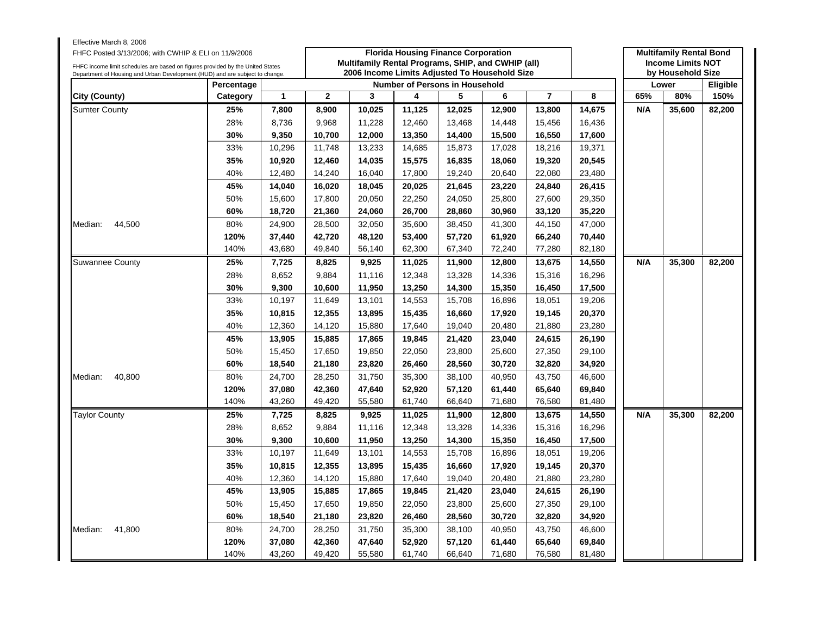| Effective March 8, 2006<br>FHFC Posted 3/13/2006; with CWHIP & ELI on 11/9/2006<br>FHFC income limit schedules are based on figures provided by the United States<br>Department of Housing and Urban Development (HUD) and are subject to change. |            |              | <b>Florida Housing Finance Corporation</b><br>Multifamily Rental Programs, SHIP, and CWHIP (all)<br>2006 Income Limits Adjusted To Household Size |        |        |        |        |                |        |     | <b>Multifamily Rental Bond</b><br><b>Income Limits NOT</b><br>by Household Size |          |  |  |
|---------------------------------------------------------------------------------------------------------------------------------------------------------------------------------------------------------------------------------------------------|------------|--------------|---------------------------------------------------------------------------------------------------------------------------------------------------|--------|--------|--------|--------|----------------|--------|-----|---------------------------------------------------------------------------------|----------|--|--|
|                                                                                                                                                                                                                                                   | Percentage |              | Number of Persons in Household                                                                                                                    |        |        |        |        |                |        |     |                                                                                 | Eligible |  |  |
| City (County)                                                                                                                                                                                                                                     | Category   | $\mathbf{1}$ | $\overline{2}$                                                                                                                                    | 3      | 4      | 5      | 6      | $\overline{7}$ | 8      | 65% | 80%                                                                             | 150%     |  |  |
| <b>Sumter County</b>                                                                                                                                                                                                                              | 25%        | 7,800        | 8,900                                                                                                                                             | 10,025 | 11,125 | 12,025 | 12,900 | 13,800         | 14,675 | N/A | 35,600                                                                          | 82,200   |  |  |
|                                                                                                                                                                                                                                                   | 28%        | 8,736        | 9,968                                                                                                                                             | 11,228 | 12,460 | 13,468 | 14,448 | 15,456         | 16,436 |     |                                                                                 |          |  |  |
|                                                                                                                                                                                                                                                   | 30%        | 9,350        | 10,700                                                                                                                                            | 12,000 | 13,350 | 14,400 | 15,500 | 16,550         | 17,600 |     |                                                                                 |          |  |  |
|                                                                                                                                                                                                                                                   | 33%        | 10,296       | 11,748                                                                                                                                            | 13,233 | 14,685 | 15,873 | 17,028 | 18,216         | 19,371 |     |                                                                                 |          |  |  |
|                                                                                                                                                                                                                                                   | 35%        | 10,920       | 12,460                                                                                                                                            | 14,035 | 15,575 | 16,835 | 18,060 | 19,320         | 20,545 |     |                                                                                 |          |  |  |
|                                                                                                                                                                                                                                                   | 40%        | 12,480       | 14,240                                                                                                                                            | 16,040 | 17,800 | 19,240 | 20,640 | 22,080         | 23,480 |     |                                                                                 |          |  |  |
|                                                                                                                                                                                                                                                   | 45%        | 14,040       | 16,020<br>18,045<br>20,025<br>23,220<br>26,415<br>21,645<br>24,840                                                                                |        |        |        |        |                |        |     |                                                                                 |          |  |  |
|                                                                                                                                                                                                                                                   | 50%        | 15,600       | 17,800                                                                                                                                            | 20,050 | 22,250 | 24,050 | 25,800 | 27,600         | 29,350 |     |                                                                                 |          |  |  |
|                                                                                                                                                                                                                                                   | 60%        | 18,720       | 21,360                                                                                                                                            | 24,060 | 26,700 | 28,860 | 30,960 | 33,120         | 35,220 |     |                                                                                 |          |  |  |
| 44,500<br>Median:                                                                                                                                                                                                                                 | 80%        | 24,900       | 28,500                                                                                                                                            | 32,050 | 35,600 | 38,450 | 41,300 | 44,150         | 47,000 |     |                                                                                 |          |  |  |
|                                                                                                                                                                                                                                                   | 120%       | 37,440       | 42,720                                                                                                                                            | 48,120 | 53,400 | 57,720 | 61,920 | 66,240         | 70,440 |     |                                                                                 |          |  |  |
|                                                                                                                                                                                                                                                   | 140%       | 43,680       | 49,840                                                                                                                                            | 56,140 | 62,300 | 67,340 | 72,240 | 77,280         | 82,180 |     |                                                                                 |          |  |  |
| <b>Suwannee County</b>                                                                                                                                                                                                                            | 25%        | 7,725        | 8,825                                                                                                                                             | 9,925  | 11,025 | 11,900 | 12,800 | 13,675         | 14,550 | N/A | 35,300                                                                          | 82,200   |  |  |
|                                                                                                                                                                                                                                                   | 28%        | 8,652        | 9,884                                                                                                                                             | 11,116 | 12,348 | 13,328 | 14,336 | 15,316         | 16,296 |     |                                                                                 |          |  |  |
|                                                                                                                                                                                                                                                   | 30%        | 9,300        | 10,600                                                                                                                                            | 11,950 | 13,250 | 14,300 | 15,350 | 16,450         | 17,500 |     |                                                                                 |          |  |  |
|                                                                                                                                                                                                                                                   | 33%        | 10,197       | 11,649                                                                                                                                            | 13,101 | 14,553 | 15,708 | 16,896 | 18,051         | 19,206 |     |                                                                                 |          |  |  |
|                                                                                                                                                                                                                                                   | 35%        | 10,815       | 12,355                                                                                                                                            | 13,895 | 15,435 | 16,660 | 17,920 | 19,145         | 20,370 |     |                                                                                 |          |  |  |
|                                                                                                                                                                                                                                                   | 40%        | 12,360       | 14,120                                                                                                                                            | 15,880 | 17,640 | 19,040 | 20,480 | 21,880         | 23,280 |     |                                                                                 |          |  |  |
|                                                                                                                                                                                                                                                   | 45%        | 13,905       | 15,885                                                                                                                                            | 17,865 | 19,845 | 21,420 | 23,040 | 24,615         | 26,190 |     |                                                                                 |          |  |  |
|                                                                                                                                                                                                                                                   | 50%        | 15,450       | 17,650                                                                                                                                            | 19,850 | 22,050 | 23,800 | 25,600 | 27,350         | 29,100 |     |                                                                                 |          |  |  |
|                                                                                                                                                                                                                                                   | 60%        | 18,540       | 21,180                                                                                                                                            | 23,820 | 26,460 | 28,560 | 30,720 | 32,820         | 34,920 |     |                                                                                 |          |  |  |
| 40,800<br>Median:                                                                                                                                                                                                                                 | 80%        | 24,700       | 28,250                                                                                                                                            | 31,750 | 35,300 | 38,100 | 40,950 | 43,750         | 46,600 |     |                                                                                 |          |  |  |
|                                                                                                                                                                                                                                                   | 120%       | 37,080       | 42,360                                                                                                                                            | 47,640 | 52,920 | 57,120 | 61,440 | 65,640         | 69,840 |     |                                                                                 |          |  |  |
|                                                                                                                                                                                                                                                   | 140%       | 43,260       | 49,420                                                                                                                                            | 55,580 | 61,740 | 66,640 | 71,680 | 76,580         | 81,480 |     |                                                                                 |          |  |  |
| <b>Taylor County</b>                                                                                                                                                                                                                              | 25%        | 7,725        | 8,825                                                                                                                                             | 9,925  | 11,025 | 11,900 | 12,800 | 13,675         | 14,550 | N/A | 35,300                                                                          | 82,200   |  |  |
|                                                                                                                                                                                                                                                   | 28%        | 8,652        | 9,884                                                                                                                                             | 11,116 | 12,348 | 13,328 | 14,336 | 15,316         | 16,296 |     |                                                                                 |          |  |  |
|                                                                                                                                                                                                                                                   | 30%        | 9.300        | 10,600                                                                                                                                            | 11,950 | 13,250 | 14,300 | 15,350 | 16,450         | 17,500 |     |                                                                                 |          |  |  |
|                                                                                                                                                                                                                                                   | 33%        | 10,197       | 11,649                                                                                                                                            | 13,101 | 14,553 | 15,708 | 16,896 | 18,051         | 19,206 |     |                                                                                 |          |  |  |
|                                                                                                                                                                                                                                                   | 35%        | 10,815       | 12,355                                                                                                                                            | 13,895 | 15,435 | 16,660 | 17,920 | 19,145         | 20,370 |     |                                                                                 |          |  |  |
|                                                                                                                                                                                                                                                   | 40%        | 12,360       | 14,120                                                                                                                                            | 15,880 | 17,640 | 19,040 | 20,480 | 21,880         | 23,280 |     |                                                                                 |          |  |  |
|                                                                                                                                                                                                                                                   | 45%        | 13,905       | 15,885                                                                                                                                            | 17,865 | 19,845 | 21,420 | 23,040 | 24,615         | 26,190 |     |                                                                                 |          |  |  |
|                                                                                                                                                                                                                                                   | 50%        | 15,450       | 17,650                                                                                                                                            | 19,850 | 22,050 | 23,800 | 25,600 | 27,350         | 29,100 |     |                                                                                 |          |  |  |
|                                                                                                                                                                                                                                                   | 60%        | 18,540       | 21,180                                                                                                                                            | 23,820 | 26,460 | 28,560 | 30,720 | 32,820         | 34,920 |     |                                                                                 |          |  |  |
| 41,800<br>Median:                                                                                                                                                                                                                                 | 80%        | 24,700       | 28,250                                                                                                                                            | 31,750 | 35,300 | 38,100 | 40,950 | 43,750         | 46,600 |     |                                                                                 |          |  |  |
|                                                                                                                                                                                                                                                   | 120%       | 37,080       | 42,360                                                                                                                                            | 47,640 | 52,920 | 57,120 | 61,440 | 65,640         | 69,840 |     |                                                                                 |          |  |  |
|                                                                                                                                                                                                                                                   | 140%       | 43,260       | 49,420                                                                                                                                            | 55,580 | 61,740 | 66,640 | 71,680 | 76,580         | 81,480 |     |                                                                                 |          |  |  |